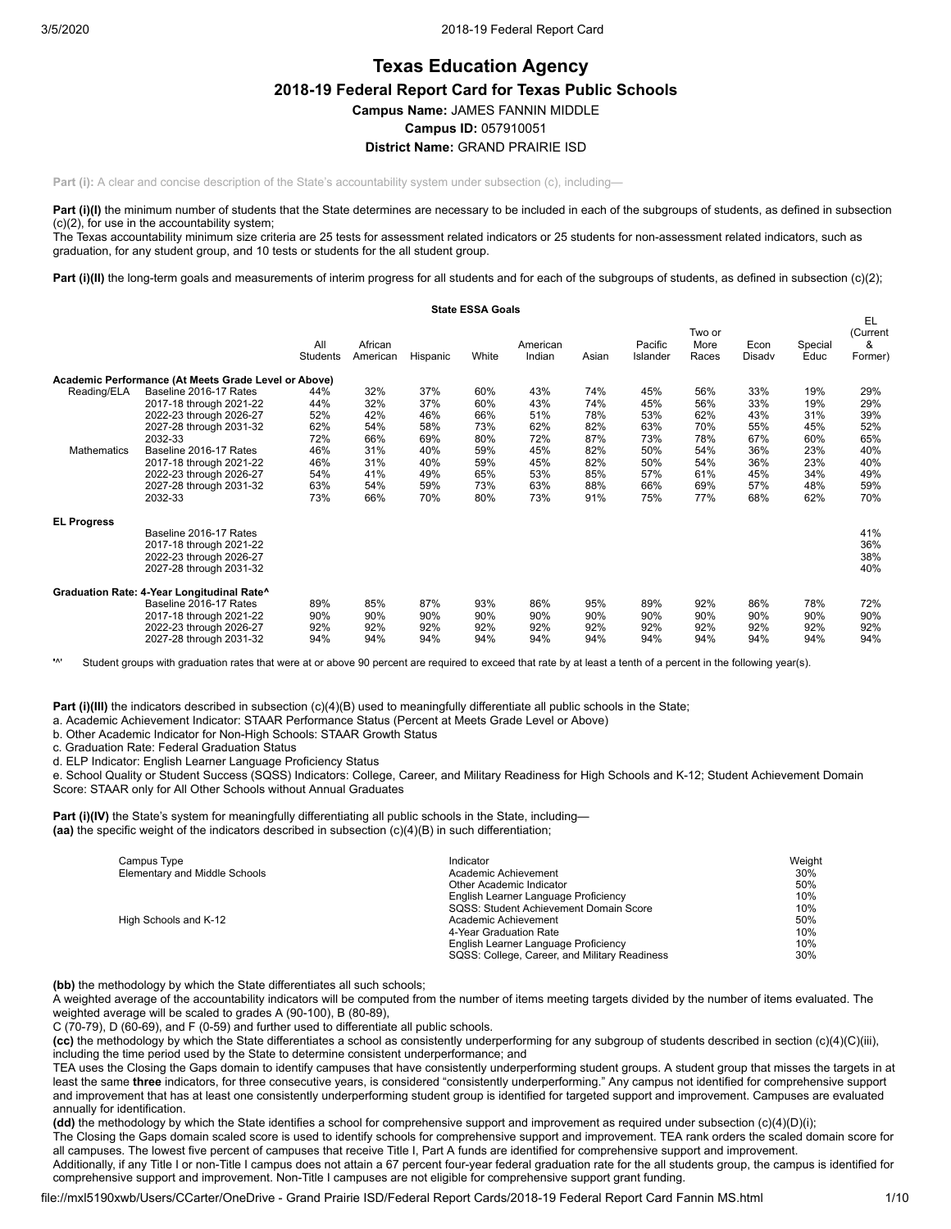# **Texas Education Agency 2018-19 Federal Report Card for Texas Public Schools Campus Name:** JAMES FANNIN MIDDLE **Campus ID:** 057910051 **District Name:** GRAND PRAIRIE ISD

**Part (i):** A clear and concise description of the State's accountability system under subsection (c), including—

Part (i)(I) the minimum number of students that the State determines are necessary to be included in each of the subgroups of students, as defined in subsection (c)(2), for use in the accountability system;

The Texas accountability minimum size criteria are 25 tests for assessment related indicators or 25 students for non-assessment related indicators, such as graduation, for any student group, and 10 tests or students for the all student group.

Part (i)(II) the long-term goals and measurements of interim progress for all students and for each of the subgroups of students, as defined in subsection (c)(2);

|                    |                                                      |                 |                     |          | <b>State ESSA Goals</b> |                    |       |                     |                         |                |                 |                                |
|--------------------|------------------------------------------------------|-----------------|---------------------|----------|-------------------------|--------------------|-------|---------------------|-------------------------|----------------|-----------------|--------------------------------|
|                    |                                                      | All<br>Students | African<br>American | Hispanic | White                   | American<br>Indian | Asian | Pacific<br>Islander | Two or<br>More<br>Races | Econ<br>Disady | Special<br>Educ | EL<br>(Current<br>&<br>Former) |
|                    | Academic Performance (At Meets Grade Level or Above) |                 |                     |          |                         |                    |       |                     |                         |                |                 |                                |
| Reading/ELA        | Baseline 2016-17 Rates                               | 44%             | 32%                 | 37%      | 60%                     | 43%                | 74%   | 45%                 | 56%                     | 33%            | 19%             | 29%                            |
|                    | 2017-18 through 2021-22                              | 44%             | 32%                 | 37%      | 60%                     | 43%                | 74%   | 45%                 | 56%                     | 33%            | 19%             | 29%                            |
|                    | 2022-23 through 2026-27                              | 52%             | 42%                 | 46%      | 66%                     | 51%                | 78%   | 53%                 | 62%                     | 43%            | 31%             | 39%                            |
|                    | 2027-28 through 2031-32                              | 62%             | 54%                 | 58%      | 73%                     | 62%                | 82%   | 63%                 | 70%                     | 55%            | 45%             | 52%                            |
|                    | 2032-33                                              | 72%             | 66%                 | 69%      | 80%                     | 72%                | 87%   | 73%                 | 78%                     | 67%            | 60%             | 65%                            |
| <b>Mathematics</b> | Baseline 2016-17 Rates                               | 46%             | 31%                 | 40%      | 59%                     | 45%                | 82%   | 50%                 | 54%                     | 36%            | 23%             | 40%                            |
|                    | 2017-18 through 2021-22                              | 46%             | 31%                 | 40%      | 59%                     | 45%                | 82%   | 50%                 | 54%                     | 36%            | 23%             | 40%                            |
|                    | 2022-23 through 2026-27                              | 54%             | 41%                 | 49%      | 65%                     | 53%                | 85%   | 57%                 | 61%                     | 45%            | 34%             | 49%                            |
|                    | 2027-28 through 2031-32                              | 63%             | 54%                 | 59%      | 73%                     | 63%                | 88%   | 66%                 | 69%                     | 57%            | 48%             | 59%                            |
|                    | 2032-33                                              | 73%             | 66%                 | 70%      | 80%                     | 73%                | 91%   | 75%                 | 77%                     | 68%            | 62%             | 70%                            |
| <b>EL Progress</b> |                                                      |                 |                     |          |                         |                    |       |                     |                         |                |                 |                                |
|                    | Baseline 2016-17 Rates                               |                 |                     |          |                         |                    |       |                     |                         |                |                 | 41%                            |
|                    | 2017-18 through 2021-22                              |                 |                     |          |                         |                    |       |                     |                         |                |                 | 36%                            |
|                    | 2022-23 through 2026-27                              |                 |                     |          |                         |                    |       |                     |                         |                |                 | 38%                            |
|                    | 2027-28 through 2031-32                              |                 |                     |          |                         |                    |       |                     |                         |                |                 | 40%                            |
|                    | Graduation Rate: 4-Year Longitudinal Rate^           |                 |                     |          |                         |                    |       |                     |                         |                |                 |                                |
|                    | Baseline 2016-17 Rates                               | 89%             | 85%                 | 87%      | 93%                     | 86%                | 95%   | 89%                 | 92%                     | 86%            | 78%             | 72%                            |
|                    | 2017-18 through 2021-22                              | 90%             | 90%                 | 90%      | 90%                     | 90%                | 90%   | 90%                 | 90%                     | 90%            | 90%             | 90%                            |
|                    | 2022-23 through 2026-27                              | 92%             | 92%                 | 92%      | 92%                     | 92%                | 92%   | 92%                 | 92%                     | 92%            | 92%             | 92%                            |
|                    | 2027-28 through 2031-32                              | 94%             | 94%                 | 94%      | 94%                     | 94%                | 94%   | 94%                 | 94%                     | 94%            | 94%             | 94%                            |

**'**^' Student groups with graduation rates that were at or above 90 percent are required to exceed that rate by at least a tenth of a percent in the following year(s).

**Part (i)(III)** the indicators described in subsection (c)(4)(B) used to meaningfully differentiate all public schools in the State;

a. Academic Achievement Indicator: STAAR Performance Status (Percent at Meets Grade Level or Above)

b. Other Academic Indicator for Non-High Schools: STAAR Growth Status

c. Graduation Rate: Federal Graduation Status

d. ELP Indicator: English Learner Language Proficiency Status

e. School Quality or Student Success (SQSS) Indicators: College, Career, and Military Readiness for High Schools and K-12; Student Achievement Domain Score: STAAR only for All Other Schools without Annual Graduates

**Part (i)(IV)** the State's system for meaningfully differentiating all public schools in the State, including— **(aa)** the specific weight of the indicators described in subsection (c)(4)(B) in such differentiation;

| Campus Type                   | Indicator                                     | Weight |
|-------------------------------|-----------------------------------------------|--------|
| Elementary and Middle Schools | Academic Achievement                          | 30%    |
|                               | Other Academic Indicator                      | 50%    |
|                               | English Learner Language Proficiency          | 10%    |
|                               | SQSS: Student Achievement Domain Score        | 10%    |
| High Schools and K-12         | Academic Achievement                          | 50%    |
|                               | 4-Year Graduation Rate                        | 10%    |
|                               | English Learner Language Proficiency          | 10%    |
|                               | SQSS: College, Career, and Military Readiness | 30%    |

**(bb)** the methodology by which the State differentiates all such schools;

A weighted average of the accountability indicators will be computed from the number of items meeting targets divided by the number of items evaluated. The weighted average will be scaled to grades A (90-100), B (80-89),

C (70-79), D (60-69), and F (0-59) and further used to differentiate all public schools.

**(cc)** the methodology by which the State differentiates a school as consistently underperforming for any subgroup of students described in section (c)(4)(C)(iii), including the time period used by the State to determine consistent underperformance; and

TEA uses the Closing the Gaps domain to identify campuses that have consistently underperforming student groups. A student group that misses the targets in at least the same **three** indicators, for three consecutive years, is considered "consistently underperforming." Any campus not identified for comprehensive support and improvement that has at least one consistently underperforming student group is identified for targeted support and improvement. Campuses are evaluated annually for identification.

**(dd)** the methodology by which the State identifies a school for comprehensive support and improvement as required under subsection (c)(4)(D)(i);

The Closing the Gaps domain scaled score is used to identify schools for comprehensive support and improvement. TEA rank orders the scaled domain score for all campuses. The lowest five percent of campuses that receive Title I, Part A funds are identified for comprehensive support and improvement.

Additionally, if any Title I or non-Title I campus does not attain a 67 percent four-year federal graduation rate for the all students group, the campus is identified for comprehensive support and improvement. Non-Title I campuses are not eligible for comprehensive support grant funding.

file://mxl5190xwb/Users/CCarter/OneDrive - Grand Prairie ISD/Federal Report Cards/2018-19 Federal Report Card Fannin MS.html 1/10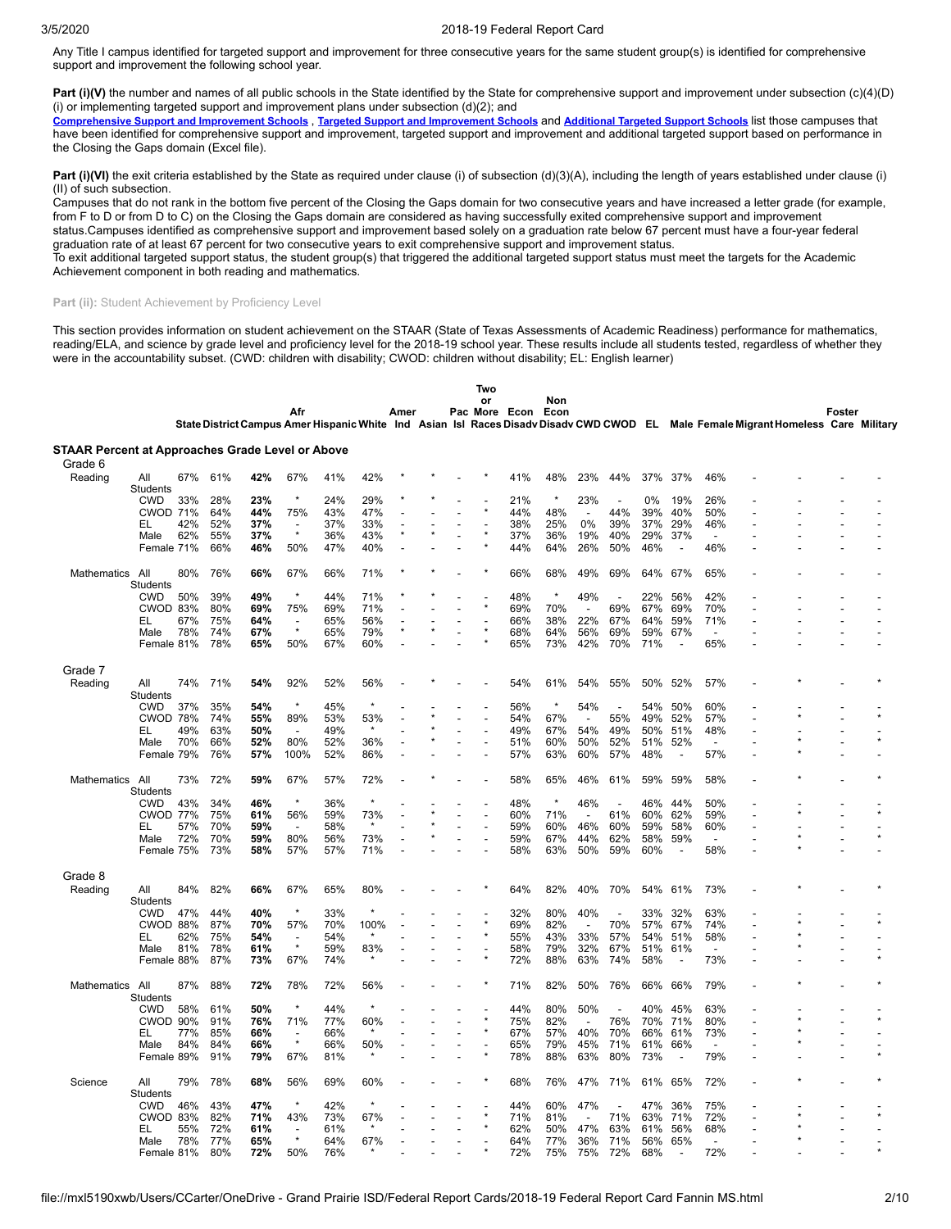Any Title I campus identified for targeted support and improvement for three consecutive years for the same student group(s) is identified for comprehensive support and improvement the following school year.

Part (i)(V) the number and names of all public schools in the State identified by the State for comprehensive support and improvement under subsection (c)(4)(D) (i) or implementing targeted support and improvement plans under subsection  $(d)(2)$ ; and

[Comprehensive](https://tea.texas.gov/sites/default/files/comprehensive_support_2019.xlsx) Support and [Improvement](https://tea.texas.gov/sites/default/files/target_support_2019.xlsx) Schools, Targeted Support and Improvement Schools and [Additional](https://tea.texas.gov/sites/default/files/additional_targeted_support_2019.xlsx) Targeted Support Schools list those campuses that have been identified for comprehensive support and improvement, targeted support and improvement and additional targeted support based on performance in the Closing the Gaps domain (Excel file).

**Part (i)(VI)** the exit criteria established by the State as required under clause (i) of subsection (d)(3)(A), including the length of years established under clause (i) (II) of such subsection.

Campuses that do not rank in the bottom five percent of the Closing the Gaps domain for two consecutive years and have increased a letter grade (for example, from F to D or from D to C) on the Closing the Gaps domain are considered as having successfully exited comprehensive support and improvement status.Campuses identified as comprehensive support and improvement based solely on a graduation rate below 67 percent must have a four-year federal

graduation rate of at least 67 percent for two consecutive years to exit comprehensive support and improvement status.

To exit additional targeted support status, the student group(s) that triggered the additional targeted support status must meet the targets for the Academic Achievement component in both reading and mathematics.

#### Part (ii): Student Achievement by Proficiency Level

This section provides information on student achievement on the STAAR (State of Texas Assessments of Academic Readiness) performance for mathematics, reading/ELA, and science by grade level and proficiency level for the 2018-19 school year. These results include all students tested, regardless of whether they were in the accountability subset. (CWD: children with disability; CWOD: children without disability; EL: English learner)

|                                                  |                        |     |     |     |                          |     |         |      |                          | Two |               |         |                          |                          |     |                          |                          |                                                                                                                                    |        |  |
|--------------------------------------------------|------------------------|-----|-----|-----|--------------------------|-----|---------|------|--------------------------|-----|---------------|---------|--------------------------|--------------------------|-----|--------------------------|--------------------------|------------------------------------------------------------------------------------------------------------------------------------|--------|--|
|                                                  |                        |     |     |     |                          |     |         |      |                          | or  |               | Non     |                          |                          |     |                          |                          |                                                                                                                                    |        |  |
|                                                  |                        |     |     |     | Afr                      |     |         | Amer |                          |     | Pac More Econ | Econ    |                          |                          |     |                          |                          | State District Campus Amer Hispanic White Ind Asian Isl Races Disadv Disadv CWD CWOD EL Male Female Migrant Homeless Care Military | Foster |  |
| STAAR Percent at Approaches Grade Level or Above |                        |     |     |     |                          |     |         |      |                          |     |               |         |                          |                          |     |                          |                          |                                                                                                                                    |        |  |
| Grade 6                                          |                        |     |     |     |                          |     |         |      |                          |     |               |         |                          |                          |     |                          |                          |                                                                                                                                    |        |  |
| Reading                                          | All<br><b>Students</b> | 67% | 61% | 42% | 67%                      | 41% | 42%     |      |                          |     | 41%           | 48%     | 23%                      | 44%                      | 37% | 37%                      | 46%                      |                                                                                                                                    |        |  |
|                                                  | <b>CWD</b>             | 33% | 28% | 23% | $\star$                  | 24% | 29%     |      |                          |     | 21%           |         | 23%                      |                          | 0%  | 19%                      | 26%                      |                                                                                                                                    |        |  |
|                                                  | <b>CWOD 71%</b>        |     | 64% | 44% | 75%                      | 43% | 47%     |      |                          |     | 44%           | 48%     |                          | 44%                      | 39% | 40%                      | 50%                      |                                                                                                                                    |        |  |
|                                                  | EL                     | 42% | 52% | 37% | $\overline{\phantom{a}}$ | 37% | 33%     |      |                          |     | 38%           | 25%     | 0%                       | 39%                      | 37% | 29%                      | 46%                      |                                                                                                                                    |        |  |
|                                                  | Male                   | 62% | 55% | 37% | $\star$                  | 36% | 43%     |      |                          |     | 37%           | 36%     | 19%                      | 40%                      | 29% | 37%                      |                          |                                                                                                                                    |        |  |
|                                                  | Female 71%             |     | 66% | 46% | 50%                      | 47% | 40%     |      |                          |     | 44%           | 64%     | 26%                      | 50%                      | 46% | $\overline{a}$           | 46%                      |                                                                                                                                    |        |  |
| Mathematics                                      | All<br>Students        | 80% | 76% | 66% | 67%                      | 66% | 71%     |      |                          |     | 66%           | 68%     | 49%                      | 69%                      | 64% | 67%                      | 65%                      |                                                                                                                                    |        |  |
|                                                  | <b>CWD</b>             | 50% | 39% | 49% | $\star$                  | 44% | 71%     |      |                          |     | 48%           | $\star$ | 49%                      | $\overline{\phantom{a}}$ | 22% | 56%                      | 42%                      |                                                                                                                                    |        |  |
|                                                  | <b>CWOD 83%</b>        |     | 80% | 69% | 75%                      | 69% | 71%     |      |                          |     | 69%           | 70%     | $\overline{a}$           | 69%                      | 67% | 69%                      | 70%                      |                                                                                                                                    |        |  |
|                                                  | EL                     | 67% | 75% | 64% |                          | 65% | 56%     |      |                          |     | 66%           | 38%     | 22%                      | 67%                      | 64% | 59%                      | 71%                      |                                                                                                                                    |        |  |
|                                                  | Male                   | 78% | 74% | 67% | $\star$                  | 65% | 79%     |      |                          |     | 68%           | 64%     | 56%                      | 69%                      | 59% | 67%                      |                          |                                                                                                                                    |        |  |
|                                                  | Female 81%             |     | 78% | 65% | 50%                      | 67% | 60%     |      |                          |     | 65%           | 73%     | 42%                      | 70%                      | 71% | $\overline{\phantom{a}}$ | 65%                      |                                                                                                                                    |        |  |
| Grade 7                                          |                        |     |     |     |                          |     |         |      |                          |     |               |         |                          |                          |     |                          |                          |                                                                                                                                    |        |  |
| Reading                                          | All<br>Students        | 74% | 71% | 54% | 92%                      | 52% | 56%     |      |                          |     | 54%           | 61%     | 54%                      | 55%                      | 50% | 52%                      | 57%                      |                                                                                                                                    |        |  |
|                                                  | <b>CWD</b>             | 37% | 35% | 54% | $\star$                  | 45% | $\star$ |      |                          |     | 56%           |         | 54%                      |                          | 54% | 50%                      | 60%                      |                                                                                                                                    |        |  |
|                                                  | <b>CWOD 78%</b>        |     | 74% | 55% | 89%                      | 53% | 53%     |      |                          |     | 54%           | 67%     | $\overline{\phantom{a}}$ | 55%                      | 49% | 52%                      | 57%                      |                                                                                                                                    |        |  |
|                                                  | EL                     | 49% | 63% | 50% | $\overline{\phantom{a}}$ | 49% | $\star$ |      |                          |     | 49%           | 67%     | 54%                      | 49%                      | 50% | 51%                      | 48%                      |                                                                                                                                    |        |  |
|                                                  | Male                   | 70% | 66% | 52% | 80%                      | 52% | 36%     |      |                          |     | 51%           | 60%     | 50%                      | 52%                      | 51% | 52%                      | $\overline{\phantom{a}}$ |                                                                                                                                    |        |  |
|                                                  | Female 79%             |     | 76% | 57% | 100%                     | 52% | 86%     |      |                          |     | 57%           | 63%     | 60%                      | 57%                      | 48% | $\overline{\phantom{a}}$ | 57%                      |                                                                                                                                    |        |  |
| Mathematics                                      | All<br>Students        | 73% | 72% | 59% | 67%                      | 57% | 72%     |      |                          |     | 58%           | 65%     | 46%                      | 61%                      | 59% | 59%                      | 58%                      |                                                                                                                                    |        |  |
|                                                  | <b>CWD</b>             | 43% | 34% | 46% |                          | 36% |         |      |                          |     | 48%           |         | 46%                      |                          | 46% | 44%                      | 50%                      |                                                                                                                                    |        |  |
|                                                  | <b>CWOD 77%</b>        |     | 75% | 61% | 56%                      | 59% | 73%     |      |                          |     | 60%           | 71%     | $\overline{a}$           | 61%                      | 60% | 62%                      | 59%                      |                                                                                                                                    |        |  |
|                                                  | EL                     | 57% | 70% | 59% | $\overline{\phantom{a}}$ | 58% | $\star$ |      | $\overline{\phantom{a}}$ |     | 59%           | 60%     | 46%                      | 60%                      | 59% | 58%                      | 60%                      |                                                                                                                                    |        |  |
|                                                  | Male                   | 72% | 70% | 59% | 80%                      | 56% | 73%     |      |                          |     | 59%           | 67%     | 44%                      | 62%                      | 58% | 59%                      |                          |                                                                                                                                    |        |  |
|                                                  | Female 75%             |     | 73% | 58% | 57%                      | 57% | 71%     |      |                          |     | 58%           | 63%     | 50%                      | 59%                      | 60% | $\overline{\phantom{a}}$ | 58%                      |                                                                                                                                    |        |  |
| Grade 8                                          |                        |     |     |     |                          |     |         |      |                          |     |               |         |                          |                          |     |                          |                          |                                                                                                                                    |        |  |
| Reading                                          | All<br><b>Students</b> | 84% | 82% | 66% | 67%                      | 65% | 80%     |      |                          |     | 64%           | 82%     | 40%                      | 70%                      | 54% | 61%                      | 73%                      |                                                                                                                                    |        |  |
|                                                  | <b>CWD</b>             | 47% | 44% | 40% | $\star$                  | 33% | $\star$ |      |                          |     | 32%           | 80%     | 40%                      |                          | 33% | 32%                      | 63%                      |                                                                                                                                    |        |  |
|                                                  | CWOD                   | 88% | 87% | 70% | 57%                      | 70% | 100%    |      |                          |     | 69%           | 82%     | $\overline{\phantom{a}}$ | 70%                      | 57% | 67%                      | 74%                      |                                                                                                                                    |        |  |
|                                                  | EL                     | 62% | 75% | 54% | $\overline{\phantom{a}}$ | 54% | $\star$ |      |                          |     | 55%           | 43%     | 33%                      | 57%                      | 54% | 51%                      | 58%                      |                                                                                                                                    |        |  |
|                                                  | Male                   | 81% | 78% | 61% | $\star$                  | 59% | 83%     |      |                          |     | 58%           | 79%     | 32%                      | 67%                      | 51% | 61%                      | $\overline{\phantom{a}}$ |                                                                                                                                    |        |  |
|                                                  | Female 88%             |     | 87% | 73% | 67%                      | 74% |         |      |                          |     | 72%           | 88%     | 63%                      | 74%                      | 58% |                          | 73%                      |                                                                                                                                    |        |  |
| Mathematics                                      | All<br><b>Students</b> | 87% | 88% | 72% | 78%                      | 72% | 56%     |      |                          |     | 71%           | 82%     | 50%                      | 76%                      | 66% | 66%                      | 79%                      |                                                                                                                                    |        |  |
|                                                  | <b>CWD</b>             | 58% | 61% | 50% | $\star$                  | 44% | $\star$ |      |                          |     | 44%           | 80%     | 50%                      |                          | 40% | 45%                      | 63%                      |                                                                                                                                    |        |  |
|                                                  | <b>CWOD 90%</b>        |     | 91% | 76% | 71%                      | 77% | 60%     |      |                          |     | 75%           | 82%     | $\overline{a}$           | 76%                      | 70% | 71%                      | 80%                      |                                                                                                                                    |        |  |
|                                                  | EL                     | 77% | 85% | 66% | $\overline{\phantom{a}}$ | 66% |         |      |                          |     | 67%           | 57%     | 40%                      | 70%                      | 66% | 61%                      | 73%                      |                                                                                                                                    |        |  |
|                                                  | Male                   | 84% | 84% | 66% | $\star$                  | 66% | 50%     |      |                          |     | 65%           | 79%     | 45%                      | 71%                      | 61% | 66%                      |                          |                                                                                                                                    |        |  |
|                                                  | Female 89%             |     | 91% | 79% | 67%                      | 81% |         |      |                          |     | 78%           | 88%     | 63%                      | 80%                      | 73% |                          | 79%                      |                                                                                                                                    |        |  |
| Science                                          | All<br>Students        | 79% | 78% | 68% | 56%                      | 69% | 60%     |      |                          |     | 68%           | 76%     | 47%                      | 71%                      | 61% | 65%                      | 72%                      |                                                                                                                                    |        |  |
|                                                  | <b>CWD</b>             | 46% | 43% | 47% | $\star$                  | 42% | $\star$ |      |                          |     | 44%           | 60%     | 47%                      |                          | 47% | 36%                      | 75%                      |                                                                                                                                    |        |  |
|                                                  | CWOD 83%               |     | 82% | 71% | 43%                      | 73% | 67%     |      |                          |     | 71%           | 81%     | $\overline{\phantom{a}}$ | 71%                      | 63% | 71%                      | 72%                      |                                                                                                                                    |        |  |
|                                                  | EL                     | 55% | 72% | 61% |                          | 61% |         |      |                          |     | 62%           | 50%     | 47%                      | 63%                      | 61% | 56%                      | 68%                      |                                                                                                                                    |        |  |
|                                                  | Male                   | 78% | 77% | 65% | $\star$                  | 64% | 67%     |      |                          |     | 64%           | 77%     | 36%                      | 71%                      | 56% | 65%                      |                          |                                                                                                                                    |        |  |
|                                                  | Female 81%             |     | 80% | 72% | 50%                      | 76% |         |      |                          |     | 72%           | 75%     | 75%                      | 72%                      | 68% | L.                       | 72%                      |                                                                                                                                    |        |  |
|                                                  |                        |     |     |     |                          |     |         |      |                          |     |               |         |                          |                          |     |                          |                          |                                                                                                                                    |        |  |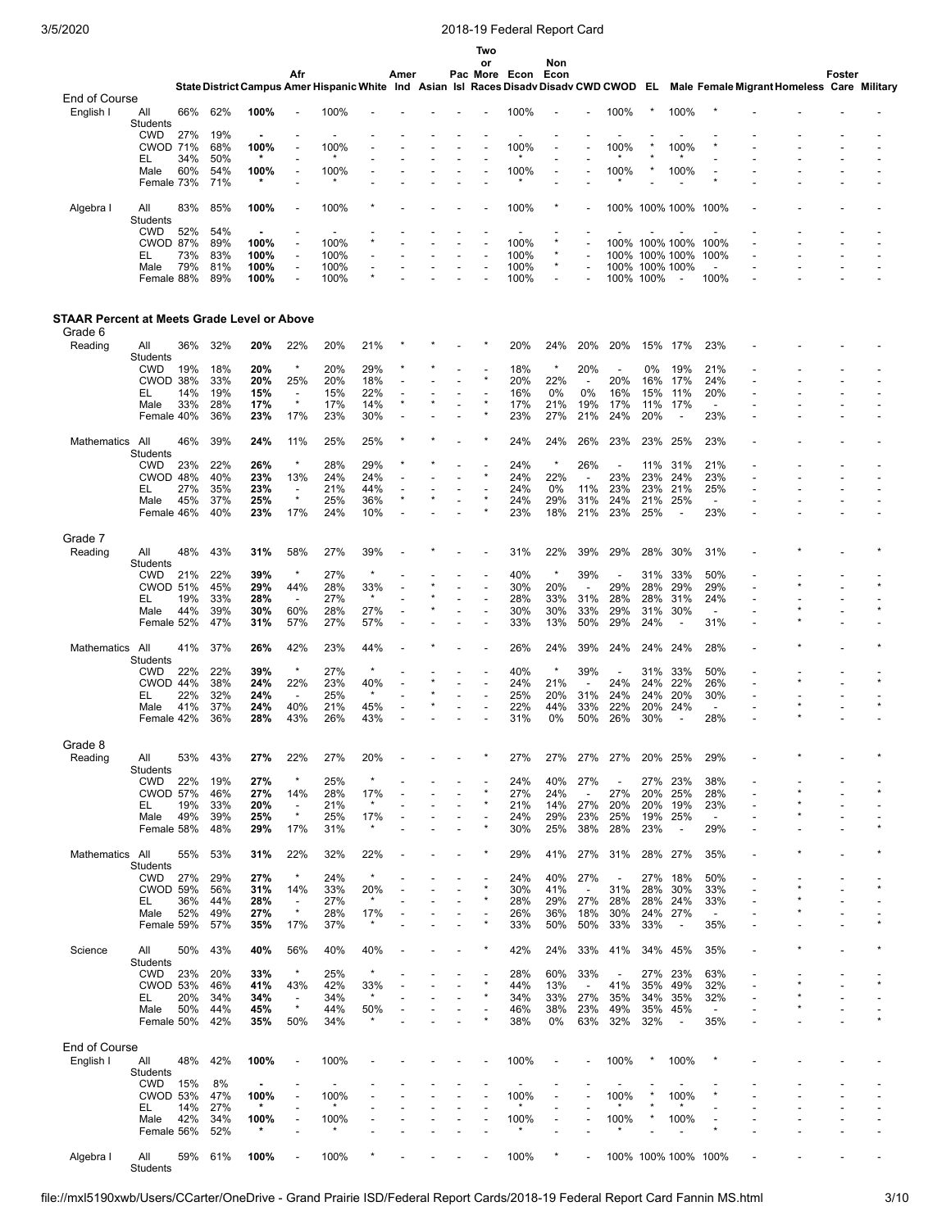Algebra I

All<br>Students

## 3/5/2020 2018-19 Federal Report Card

|                                                    |                        |            |            |                 |                                     |              |                |      |  | Two     |               |                |                                 |                                 |                |                                  |                                 |                                                                                                                                    |        |  |
|----------------------------------------------------|------------------------|------------|------------|-----------------|-------------------------------------|--------------|----------------|------|--|---------|---------------|----------------|---------------------------------|---------------------------------|----------------|----------------------------------|---------------------------------|------------------------------------------------------------------------------------------------------------------------------------|--------|--|
|                                                    |                        |            |            |                 | Afr                                 |              |                | Amer |  | or      | Pac More Econ | Non<br>Econ    |                                 |                                 |                |                                  |                                 |                                                                                                                                    | Foster |  |
|                                                    |                        |            |            |                 |                                     |              |                |      |  |         |               |                |                                 |                                 |                |                                  |                                 | State District Campus Amer Hispanic White Ind Asian Isl Races Disadv Disadv CWD CWOD EL Male Female Migrant Homeless Care Military |        |  |
| End of Course<br>English I                         | All                    | 66%        | 62%        | 100%            |                                     | 100%         |                |      |  |         | 100%          |                |                                 | 100%                            |                | 100%                             |                                 |                                                                                                                                    |        |  |
|                                                    | <b>Students</b>        |            |            |                 |                                     |              |                |      |  |         |               |                |                                 |                                 |                |                                  |                                 |                                                                                                                                    |        |  |
|                                                    | CWD<br><b>CWOD 71%</b> | 27%        | 19%<br>68% | ۰<br>100%       |                                     | 100%         |                |      |  |         | 100%          |                |                                 | 100%                            |                | 100%                             |                                 |                                                                                                                                    |        |  |
|                                                    | EL                     | 34%        | 50%        | $\star$         |                                     |              |                |      |  |         |               |                |                                 |                                 |                |                                  |                                 |                                                                                                                                    |        |  |
|                                                    | Male<br>Female 73%     | 60%        | 54%<br>71% | 100%<br>*       |                                     | 100%         |                |      |  |         | 100%          |                |                                 | 100%                            |                | 100%                             |                                 |                                                                                                                                    |        |  |
|                                                    |                        |            |            |                 |                                     |              |                |      |  |         |               |                |                                 |                                 |                |                                  |                                 |                                                                                                                                    |        |  |
| Algebra I                                          | All<br><b>Students</b> | 83%        | 85%        | 100%            |                                     | 100%         |                |      |  |         | 100%          |                |                                 |                                 |                | 100% 100% 100%                   | 100%                            |                                                                                                                                    |        |  |
|                                                    | <b>CWD</b>             | 52%        | 54%        |                 |                                     |              |                |      |  |         |               |                |                                 |                                 |                |                                  |                                 |                                                                                                                                    |        |  |
|                                                    | <b>CWOD 87%</b><br>EL  | 73%        | 89%<br>83% | 100%<br>100%    | Ĭ.<br>$\overline{a}$                | 100%<br>100% |                |      |  |         | 100%<br>100%  | ×              |                                 |                                 |                | 100% 100% 100%<br>100% 100% 100% | 100%<br>100%                    |                                                                                                                                    |        |  |
|                                                    | Male                   | 79%        | 81%        | 100%            | $\overline{a}$                      | 100%         | $\overline{a}$ |      |  |         | 100%          | $\star$        |                                 |                                 | 100% 100% 100% |                                  |                                 |                                                                                                                                    |        |  |
|                                                    | Female 88%             |            | 89%        | 100%            |                                     | 100%         |                |      |  |         | 100%          |                |                                 | 100% 100%                       |                | $\overline{\phantom{a}}$         | 100%                            |                                                                                                                                    |        |  |
|                                                    |                        |            |            |                 |                                     |              |                |      |  |         |               |                |                                 |                                 |                |                                  |                                 |                                                                                                                                    |        |  |
| <b>STAAR Percent at Meets Grade Level or Above</b> |                        |            |            |                 |                                     |              |                |      |  |         |               |                |                                 |                                 |                |                                  |                                 |                                                                                                                                    |        |  |
| Grade 6                                            |                        | 36%        | 32%        |                 |                                     | 20%          |                |      |  |         | 20%           | 24%            | 20%                             | 20%                             | 15%            | 17%                              | 23%                             |                                                                                                                                    |        |  |
| Reading                                            | All<br><b>Students</b> |            |            | 20%             | 22%                                 |              | 21%            |      |  |         |               |                |                                 |                                 |                |                                  |                                 |                                                                                                                                    |        |  |
|                                                    | <b>CWD</b>             | 19%        | 18%        | 20%             | $\star$                             | 20%          | 29%            |      |  | $\star$ | 18%           | $\star$        | 20%                             | $\overline{\phantom{a}}$        | 0%             | 19%                              | 21%                             |                                                                                                                                    |        |  |
|                                                    | CWOD 38%<br>EL         | 14%        | 33%<br>19% | 20%<br>15%      | 25%<br>$\overline{\phantom{a}}$     | 20%<br>15%   | 18%<br>22%     |      |  |         | 20%<br>16%    | 22%<br>0%      | $\overline{\phantom{a}}$<br>0%  | 20%<br>16%                      | 16%<br>15%     | 17%<br>11%                       | 24%<br>20%                      |                                                                                                                                    |        |  |
|                                                    | Male                   | 33%        | 28%        | 17%             | $\star$                             | 17%          | 14%            |      |  |         | 17%           | 21%            | 19%                             | 17%                             | 11%            | 17%                              | $\overline{a}$                  |                                                                                                                                    |        |  |
|                                                    | Female 40%             |            | 36%        | 23%             | 17%                                 | 23%          | 30%            |      |  |         | 23%           | 27%            | 21%                             | 24%                             | 20%            | $\overline{\phantom{a}}$         | 23%                             |                                                                                                                                    |        |  |
| Mathematics                                        | All                    | 46%        | 39%        | 24%             | 11%                                 | 25%          | 25%            |      |  |         | 24%           | 24%            | 26%                             | 23%                             | 23%            | 25%                              | 23%                             |                                                                                                                                    |        |  |
|                                                    | <b>Students</b>        |            |            |                 |                                     |              |                |      |  |         |               |                |                                 |                                 |                |                                  |                                 |                                                                                                                                    |        |  |
|                                                    | CWD<br>CWOD 48%        | 23%        | 22%<br>40% | 26%<br>23%      | $\star$<br>13%                      | 28%<br>24%   | 29%<br>24%     |      |  |         | 24%<br>24%    | $\star$<br>22% | 26%<br>$\overline{a}$           | 23%                             | 11%<br>23%     | 31%<br>24%                       | 21%<br>23%                      |                                                                                                                                    |        |  |
|                                                    | EL                     | 27%        | 35%        | 23%             | $\overline{\phantom{a}}$            | 21%          | 44%            |      |  |         | 24%           | 0%             | 11%                             | 23%                             | 23%            | 21%                              | 25%                             |                                                                                                                                    |        |  |
|                                                    | Male                   | 45%        | 37%<br>40% | 25%             | $\star$<br>17%                      | 25%          | 36%<br>10%     |      |  |         | 24%<br>23%    | 29%<br>18%     | 31%                             | 24%                             | 21%<br>25%     | 25%                              | $\overline{\phantom{a}}$<br>23% |                                                                                                                                    |        |  |
|                                                    | Female 46%             |            |            | 23%             |                                     | 24%          |                |      |  |         |               |                | 21%                             | 23%                             |                |                                  |                                 |                                                                                                                                    |        |  |
| Grade 7                                            |                        |            |            |                 |                                     |              |                |      |  |         |               |                |                                 |                                 |                |                                  |                                 |                                                                                                                                    |        |  |
| Reading                                            | All                    | 48%        | 43%        | 31%             | 58%                                 | 27%          | 39%            |      |  |         | 31%           | 22%            | 39%                             | 29%                             | 28%            | 30%                              | 31%                             |                                                                                                                                    |        |  |
|                                                    | Students<br>CWD        | 21%        | 22%        | 39%             | $\star$                             | 27%          | $\star$        |      |  |         | 40%           | $\star$        | 39%                             | $\overline{\phantom{a}}$        | 31%            | 33%                              | 50%                             |                                                                                                                                    |        |  |
|                                                    | <b>CWOD 51%</b>        |            | 45%        | 29%             | 44%                                 | 28%          | 33%            |      |  |         | 30%           | 20%            | $\overline{\phantom{a}}$        | 29%                             | 28%            | 29%                              | 29%                             |                                                                                                                                    |        |  |
|                                                    | EL<br>Male             | 19%<br>44% | 33%<br>39% | 28%<br>30%      | $\overline{\phantom{a}}$<br>60%     | 27%<br>28%   | $\star$<br>27% |      |  |         | 28%<br>30%    | 33%<br>30%     | 31%<br>33%                      | 28%<br>29%                      | 28%<br>31%     | 31%<br>30%                       | 24%<br>$\overline{\phantom{a}}$ |                                                                                                                                    |        |  |
|                                                    | Female 52%             |            | 47%        | 31%             | 57%                                 | 27%          | 57%            |      |  |         | 33%           | 13%            | 50%                             | 29%                             | 24%            | $\overline{\phantom{a}}$         | 31%                             |                                                                                                                                    |        |  |
| Mathematics                                        | All                    | 41%        | 37%        | 26%             | 42%                                 | 23%          | 44%            |      |  |         | 26%           | 24%            | 39%                             | 24%                             | 24%            | 24%                              | 28%                             |                                                                                                                                    |        |  |
|                                                    | Students               |            |            |                 |                                     |              |                |      |  |         |               |                |                                 |                                 |                |                                  |                                 |                                                                                                                                    |        |  |
|                                                    | <b>CWD</b>             | 22%        | 22%        | 39%             | $\star$                             | 27%          | $\star$        |      |  |         | 40%           | $\ast$         | 39%                             | $\overline{\phantom{a}}$        | 31%            | 33%                              | 50%                             |                                                                                                                                    |        |  |
|                                                    | CWOD 44%<br>EL         | 22%        | 38%<br>32% | 24%<br>24%      | 22%<br>$\overline{\phantom{a}}$     | 23%<br>25%   | 40%<br>$\ast$  |      |  |         | 24%<br>25%    | 21%<br>20%     | $\overline{\phantom{a}}$<br>31% | 24%<br>24%                      | 24%<br>24%     | 22%<br>20%                       | 26%<br>30%                      | $\overline{a}$                                                                                                                     |        |  |
|                                                    | Male                   | 41%        | 37%        | 24%             | 40%                                 | 21%          | 45%            |      |  |         | 22%           | 44%            | 33%                             | 22%                             | 20%            | 24%                              |                                 |                                                                                                                                    |        |  |
|                                                    | Female 42%             |            | 36%        | 28%             | 43%                                 | 26%          | 43%            |      |  |         | 31%           | 0%             | 50%                             | 26%                             | 30%            |                                  | 28%                             |                                                                                                                                    |        |  |
| Grade 8                                            |                        |            |            |                 |                                     |              |                |      |  |         |               |                |                                 |                                 |                |                                  |                                 |                                                                                                                                    |        |  |
| Reading                                            | All                    | 53%        | 43%        | 27%             | 22%                                 | 27%          | 20%            |      |  |         | 27%           | 27%            | 27%                             | 27%                             | 20%            | 25%                              | 29%                             |                                                                                                                                    |        |  |
|                                                    | Students<br><b>CWD</b> | 22%        | 19%        | 27%             | $\star$                             | 25%          | $\star$        |      |  |         | 24%           | 40%            | 27%                             |                                 | 27%            | 23%                              | 38%                             |                                                                                                                                    |        |  |
|                                                    | <b>CWOD 57%</b>        |            | 46%        | 27%             | 14%                                 | 28%          | 17%            |      |  |         | 27%           | 24%            | $\overline{\phantom{a}}$        | 27%                             | 20%            | 25%                              | 28%                             |                                                                                                                                    |        |  |
|                                                    | EL<br>Male             | 19%<br>49% | 33%<br>39% | 20%<br>25%      | $\overline{\phantom{a}}$<br>$\star$ | 21%<br>25%   | $\star$<br>17% |      |  |         | 21%<br>24%    | 14%<br>29%     | 27%<br>23%                      | 20%<br>25%                      | 20%<br>19%     | 19%<br>25%                       | 23%<br>$\overline{\phantom{a}}$ |                                                                                                                                    |        |  |
|                                                    | Female 58%             |            | 48%        | 29%             | 17%                                 | 31%          | $\star$        |      |  |         | 30%           | 25%            | 38%                             | 28%                             | 23%            | $\overline{\phantom{a}}$         | 29%                             |                                                                                                                                    |        |  |
|                                                    |                        |            |            |                 |                                     |              |                |      |  |         |               |                |                                 |                                 |                |                                  |                                 |                                                                                                                                    |        |  |
| Mathematics All                                    | Students               | 55%        | 53%        | 31%             | 22%                                 | 32%          | 22%            |      |  |         | 29%           | 41%            | 27%                             | 31%                             |                | 28% 27%                          | 35%                             |                                                                                                                                    |        |  |
|                                                    | <b>CWD</b>             | 27%        | 29%        | 27%             | $\star$                             | 24%          | $\star$        |      |  |         | 24%           | 40%            | 27%                             | $\overline{\phantom{a}}$        | 27%            | 18%                              | 50%                             |                                                                                                                                    |        |  |
|                                                    | <b>CWOD 59%</b><br>EL. | 36%        | 56%<br>44% | 31%<br>28%      | 14%<br>$\overline{\phantom{a}}$     | 33%<br>27%   | 20%<br>$\star$ |      |  |         | 30%<br>28%    | 41%<br>29%     | $\overline{\phantom{a}}$<br>27% | 31%<br>28%                      | 28%<br>28%     | 30%<br>24%                       | 33%<br>33%                      |                                                                                                                                    |        |  |
|                                                    | Male                   | 52%        | 49%        | 27%             | $\star$                             | 28%          | 17%            |      |  |         | 26%           | 36%            | 18%                             | 30%                             | 24%            | 27%                              | $\overline{\phantom{a}}$        | $\overline{a}$                                                                                                                     |        |  |
|                                                    | Female 59%             |            | 57%        | 35%             | 17%                                 | 37%          | $\star$        |      |  |         | 33%           | 50%            | 50%                             | 33%                             | 33%            | $\overline{\phantom{a}}$         | 35%                             |                                                                                                                                    |        |  |
| Science                                            | All                    | 50%        | 43%        | 40%             | 56%                                 | 40%          | 40%            |      |  |         | 42%           | 24%            | 33%                             | 41%                             |                | 34% 45%                          | 35%                             |                                                                                                                                    |        |  |
|                                                    | Students               |            |            |                 |                                     |              |                |      |  |         |               |                |                                 |                                 |                |                                  |                                 |                                                                                                                                    |        |  |
|                                                    | <b>CWD</b><br>CWOD 53% | 23%        | 20%<br>46% | 33%<br>41%      | $\star$<br>43%                      | 25%<br>42%   | $\star$<br>33% |      |  |         | 28%<br>44%    | 60%<br>13%     | 33%<br>$\blacksquare$           | $\overline{\phantom{a}}$<br>41% | 27%<br>35%     | 23%<br>49%                       | 63%<br>32%                      |                                                                                                                                    |        |  |
|                                                    | EL.                    | 20%        | 34%        | 34%             | $\overline{\phantom{a}}$            | 34%          | $\star$        |      |  |         | 34%           | 33%            | 27%                             | 35%                             | 34%            | 35%                              | 32%                             |                                                                                                                                    |        |  |
|                                                    | Male                   | 50%        | 44%        | 45%             | $\star$                             | 44%          | 50%            |      |  |         | 46%           | 38%            | 23%                             | 49%                             | 35%            | 45%                              | $\overline{\phantom{a}}$        |                                                                                                                                    |        |  |
|                                                    | Female 50%             |            | 42%        | 35%             | 50%                                 | 34%          |                |      |  |         | 38%           | 0%             | 63%                             | 32%                             | 32%            | $\overline{\phantom{a}}$         | 35%                             |                                                                                                                                    |        |  |
| End of Course                                      |                        |            |            |                 |                                     |              |                |      |  |         |               |                |                                 |                                 |                |                                  |                                 |                                                                                                                                    |        |  |
| English I                                          | All<br>Students        | 48%        | 42%        | 100%            |                                     | 100%         |                |      |  |         | 100%          |                |                                 | 100%                            |                | 100%                             |                                 |                                                                                                                                    |        |  |
|                                                    | <b>CWD</b>             | 15%        | 8%         | $\blacksquare$  |                                     |              |                |      |  |         |               |                |                                 |                                 |                |                                  |                                 |                                                                                                                                    |        |  |
|                                                    | <b>CWOD 53%</b>        |            | 47%        | 100%<br>$\star$ |                                     | 100%         |                |      |  |         | 100%          |                |                                 | 100%                            |                | 100%                             |                                 |                                                                                                                                    |        |  |
|                                                    | EL,<br>Male            | 14%<br>42% | 27%<br>34% | 100%            |                                     | 100%         |                |      |  |         | 100%          |                |                                 | 100%                            |                | 100%                             |                                 |                                                                                                                                    |        |  |
|                                                    | Female 56%             |            | 52%        | $\star$         |                                     |              |                |      |  |         | $\star$       |                |                                 | $\star$                         |                |                                  |                                 |                                                                                                                                    |        |  |

59% 61% **100%** - 100% \* - - - - 100% \* - 100% 100% 100% 100% - - - -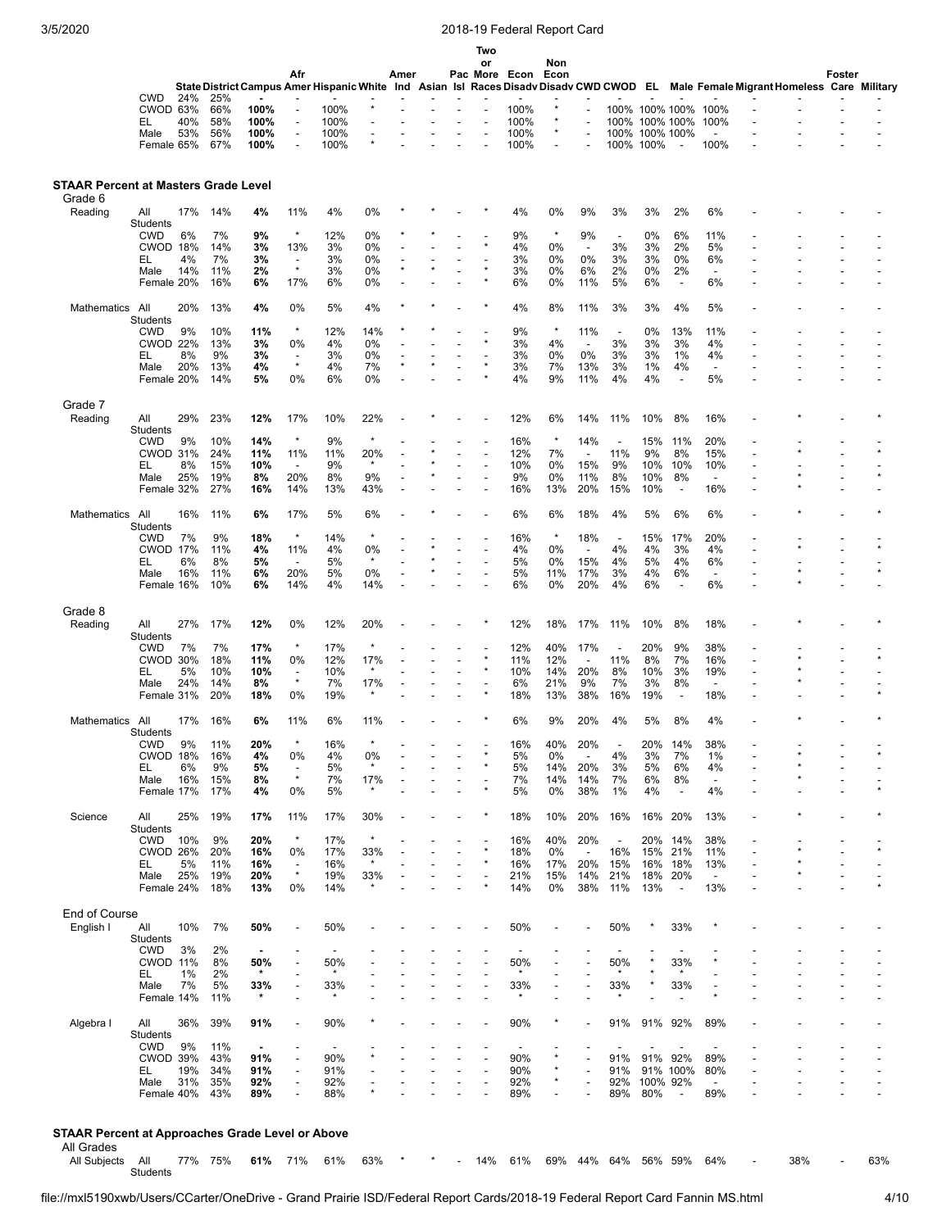|                                                        |                               |           |            |                |                                            |              |                |      |  | Two            |                |             |                          |                          |                        |                                |                                 |                                                                                                                                    |        |                |
|--------------------------------------------------------|-------------------------------|-----------|------------|----------------|--------------------------------------------|--------------|----------------|------|--|----------------|----------------|-------------|--------------------------|--------------------------|------------------------|--------------------------------|---------------------------------|------------------------------------------------------------------------------------------------------------------------------------|--------|----------------|
|                                                        |                               |           |            |                | Afr                                        |              |                | Amer |  | or             | Pac More Econ  | Non<br>Econ |                          |                          |                        |                                |                                 |                                                                                                                                    | Foster |                |
|                                                        |                               |           |            |                |                                            |              |                |      |  |                |                |             |                          |                          |                        |                                |                                 | State District Campus Amer Hispanic White Ind Asian Isl Races Disadv Disadv CWD CWOD EL Male Female Migrant Homeless Care Military |        |                |
|                                                        | <b>CWD</b>                    | 24%       | 25%        |                |                                            |              |                |      |  |                |                | *           |                          |                          |                        |                                |                                 |                                                                                                                                    |        |                |
|                                                        | CWOD 63%<br>EL                | 40%       | 66%<br>58% | 100%<br>100%   | $\overline{a}$<br>$\overline{\phantom{a}}$ | 100%<br>100% |                |      |  |                | 100%<br>100%   | *           |                          | 100%<br>100%             | 100% 100%<br>100% 100% |                                | 100%<br>100%                    |                                                                                                                                    |        |                |
|                                                        | Male                          | 53%       | 56%        | 100%           | $\overline{a}$                             | 100%         | $\overline{a}$ |      |  |                | 100%           | *           |                          | 100%                     | 100% 100%              |                                |                                 |                                                                                                                                    |        |                |
|                                                        | Female 65%                    |           | 67%        | 100%           | $\overline{a}$                             | 100%         |                |      |  |                | 100%           |             |                          | 100% 100%                |                        | ÷                              | 100%                            |                                                                                                                                    |        |                |
|                                                        |                               |           |            |                |                                            |              |                |      |  |                |                |             |                          |                          |                        |                                |                                 |                                                                                                                                    |        |                |
| <b>STAAR Percent at Masters Grade Level</b><br>Grade 6 |                               |           |            |                |                                            |              |                |      |  |                |                |             |                          |                          |                        |                                |                                 |                                                                                                                                    |        |                |
| Reading                                                | All                           | 17%       | 14%        | 4%             | 11%                                        | 4%           | 0%             |      |  |                | 4%             | 0%          | 9%                       | 3%                       | 3%                     | 2%                             | 6%                              |                                                                                                                                    |        |                |
|                                                        | Students                      |           |            |                |                                            |              |                |      |  |                |                |             |                          |                          |                        |                                |                                 |                                                                                                                                    |        |                |
|                                                        | <b>CWD</b>                    | 6%        | 7%         | 9%             | $\star$                                    | 12%          | 0%<br>0%       |      |  |                | 9%             | $\star$     | 9%<br>$\overline{a}$     | $\overline{\phantom{a}}$ | 0%                     | 6%<br>2%                       | 11%<br>5%                       |                                                                                                                                    |        |                |
|                                                        | CWOD 18%<br>EL                | 4%        | 14%<br>7%  | 3%<br>3%       | 13%<br>$\overline{\phantom{a}}$            | 3%<br>3%     | 0%             |      |  |                | 4%<br>3%       | 0%<br>0%    | 0%                       | 3%<br>3%                 | 3%<br>3%               | 0%                             | 6%                              |                                                                                                                                    |        |                |
|                                                        | Male                          | 14%       | 11%        | 2%             | $\star$                                    | 3%           | 0%             |      |  |                | 3%             | 0%          | 6%                       | 2%                       | 0%                     | 2%                             | $\overline{\phantom{a}}$        |                                                                                                                                    |        |                |
|                                                        | Female 20%                    |           | 16%        | 6%             | 17%                                        | 6%           | 0%             |      |  |                | 6%             | 0%          | 11%                      | 5%                       | 6%                     | ÷,                             | 6%                              |                                                                                                                                    |        |                |
| Mathematics All                                        |                               | 20%       | 13%        | 4%             | 0%                                         | 5%           | 4%             |      |  |                | 4%             | 8%          | 11%                      | 3%                       | 3%                     | 4%                             | 5%                              |                                                                                                                                    |        |                |
|                                                        | <b>Students</b><br><b>CWD</b> | 9%        | 10%        | 11%            | $\star$                                    | 12%          | 14%            |      |  |                | 9%             | $\star$     | 11%                      | $\overline{\phantom{a}}$ | 0%                     | 13%                            | 11%                             |                                                                                                                                    |        |                |
|                                                        | <b>CWOD 22%</b>               |           | 13%        | 3%             | 0%                                         | 4%           | 0%             |      |  |                | 3%             | 4%          | $\overline{\phantom{a}}$ | 3%                       | 3%                     | 3%                             | 4%                              |                                                                                                                                    |        |                |
|                                                        | EL                            | 8%        | 9%         | 3%             | $\overline{\phantom{a}}$                   | 3%           | 0%             |      |  |                | 3%             | 0%          | 0%                       | 3%                       | 3%                     | 1%                             | 4%                              |                                                                                                                                    |        |                |
|                                                        | Male<br>Female 20%            | 20%       | 13%<br>14% | 4%<br>5%       | $\star$<br>0%                              | 4%<br>6%     | 7%<br>0%       |      |  |                | 3%<br>4%       | 7%<br>9%    | 13%<br>11%               | 3%<br>4%                 | 1%<br>4%               | 4%<br>$\overline{\phantom{a}}$ | $\overline{\phantom{a}}$<br>5%  |                                                                                                                                    |        |                |
|                                                        |                               |           |            |                |                                            |              |                |      |  |                |                |             |                          |                          |                        |                                |                                 |                                                                                                                                    |        |                |
| Grade 7                                                |                               |           |            |                |                                            |              |                |      |  |                |                |             |                          |                          |                        |                                |                                 |                                                                                                                                    |        |                |
| Reading                                                | All                           | 29%       | 23%        | 12%            | 17%                                        | 10%          | 22%            |      |  |                | 12%            | 6%          | 14%                      | 11%                      | 10%                    | 8%                             | 16%                             |                                                                                                                                    |        |                |
|                                                        | Students<br><b>CWD</b>        | 9%        | 10%        | 14%            | $\star$                                    | 9%           | $\star$        |      |  |                | 16%            | $\star$     | 14%                      |                          | 15%                    | 11%                            | 20%                             |                                                                                                                                    |        |                |
|                                                        | <b>CWOD 31%</b>               |           | 24%        | 11%            | 11%                                        | 11%          | 20%            |      |  |                | 12%            | 7%          | $\overline{\phantom{a}}$ | 11%                      | 9%                     | 8%                             | 15%                             |                                                                                                                                    |        |                |
|                                                        | EL                            | 8%        | 15%        | 10%            | $\overline{\phantom{a}}$                   | 9%           | $\star$        |      |  |                | 10%            | 0%          | 15%                      | 9%                       | 10%                    | 10%                            | 10%                             |                                                                                                                                    |        |                |
|                                                        | Male<br>Female 32%            | 25%       | 19%<br>27% | 8%<br>16%      | 20%<br>14%                                 | 8%<br>13%    | 9%<br>43%      |      |  | $\overline{a}$ | 9%<br>16%      | 0%<br>13%   | 11%<br>20%               | 8%<br>15%                | 10%<br>10%             | 8%<br>$\overline{\phantom{a}}$ | $\overline{\phantom{a}}$<br>16% |                                                                                                                                    |        |                |
|                                                        |                               |           |            |                |                                            |              |                |      |  |                |                |             |                          |                          |                        |                                |                                 |                                                                                                                                    |        |                |
| Mathematics                                            | All<br>Students               | 16%       | 11%        | 6%             | 17%                                        | 5%           | 6%             |      |  |                | 6%             | 6%          | 18%                      | 4%                       | 5%                     | 6%                             | 6%                              |                                                                                                                                    |        |                |
|                                                        | <b>CWD</b>                    | 7%        | 9%         | 18%            | $\star$                                    | 14%          | $\star$        |      |  |                | 16%            | $\star$     | 18%                      | $\overline{\phantom{a}}$ | 15%                    | 17%                            | 20%                             |                                                                                                                                    |        |                |
|                                                        | <b>CWOD 17%</b>               |           | 11%        | 4%             | 11%                                        | 4%           | 0%<br>$\star$  |      |  |                | 4%             | 0%          | $\overline{\phantom{a}}$ | 4%                       | 4%                     | 3%                             | 4%                              |                                                                                                                                    |        |                |
|                                                        | EL<br>Male                    | 6%<br>16% | 8%<br>11%  | 5%<br>6%       | $\overline{\phantom{a}}$<br>20%            | 5%<br>5%     | 0%             |      |  |                | 5%<br>5%       | 0%<br>11%   | 15%<br>17%               | 4%<br>3%                 | 5%<br>4%               | 4%<br>6%                       | 6%<br>$\overline{\phantom{a}}$  |                                                                                                                                    |        |                |
|                                                        | Female 16%                    |           | 10%        | 6%             | 14%                                        | 4%           | 14%            |      |  |                | 6%             | 0%          | 20%                      | 4%                       | 6%                     | $\overline{a}$                 | 6%                              |                                                                                                                                    |        |                |
|                                                        |                               |           |            |                |                                            |              |                |      |  |                |                |             |                          |                          |                        |                                |                                 |                                                                                                                                    |        |                |
| Grade 8                                                |                               |           | 17%        | 12%            |                                            | 12%          | 20%            |      |  |                |                |             |                          |                          |                        |                                |                                 |                                                                                                                                    |        |                |
| Reading                                                | All<br>Students               | 27%       |            |                | 0%                                         |              |                |      |  |                | 12%            | 18%         | 17%                      | 11%                      | 10%                    | 8%                             | 18%                             |                                                                                                                                    |        |                |
|                                                        | <b>CWD</b>                    | 7%        | 7%         | 17%            | $\star$                                    | 17%          | $\star$        |      |  |                | 12%            | 40%         | 17%                      | $\overline{\phantom{a}}$ | 20%                    | 9%                             | 38%                             |                                                                                                                                    |        |                |
|                                                        | CWOD 30%                      |           | 18%        | 11%            | 0%                                         | 12%          | 17%<br>*       |      |  |                | 11%            | 12%         | $\overline{a}$           | 11%                      | 8%                     | 7%                             | 16%                             |                                                                                                                                    |        |                |
|                                                        | EL<br>Male                    | 5%<br>24% | 10%<br>14% | 10%<br>8%      | $\overline{\phantom{a}}$<br>$\star$        | 10%<br>7%    | 17%            |      |  |                | 10%<br>6%      | 14%<br>21%  | 20%<br>9%                | 8%<br>7%                 | 10%<br>3%              | 3%<br>8%                       | 19%<br>$\overline{\phantom{a}}$ |                                                                                                                                    |        |                |
|                                                        | Female 31%                    |           | 20%        | 18%            | 0%                                         | 19%          |                |      |  |                | 18%            | 13%         | 38%                      | 16%                      | 19%                    | $\overline{\phantom{a}}$       | 18%                             |                                                                                                                                    |        |                |
|                                                        |                               |           |            |                |                                            |              |                |      |  |                |                |             |                          |                          |                        |                                |                                 |                                                                                                                                    |        |                |
| Mathematics All                                        | <b>Students</b>               | 17%       | 16%        | 6%             | 11%                                        | 6%           | 11%            |      |  |                | 6%             | 9%          | 20%                      | 4%                       | 5%                     | 8%                             | 4%                              |                                                                                                                                    |        |                |
|                                                        | <b>CWD</b>                    | 9%        | 11%        | 20%            |                                            | 16%          |                |      |  |                | 16%            | 40%         | 20%                      |                          | 20%                    | 14%                            | 38%                             |                                                                                                                                    |        |                |
|                                                        | CWOD 18%                      |           | 16%        | 4%             | 0%                                         | 4%           | 0%<br>$\star$  |      |  |                | 5%             | 0%          | $\overline{\phantom{a}}$ | 4%                       | 3%                     | 7%                             | 1%                              |                                                                                                                                    |        |                |
|                                                        | EL<br>Male                    | 6%<br>16% | 9%<br>15%  | 5%<br>8%       | $\star$                                    | 5%<br>7%     | 17%            |      |  |                | 5%<br>7%       | 14%<br>14%  | 20%<br>14%               | 3%<br>7%                 | 5%<br>6%               | 6%<br>8%                       | 4%<br>$\overline{\phantom{a}}$  |                                                                                                                                    |        |                |
|                                                        | Female 17%                    |           | 17%        | 4%             | 0%                                         | 5%           | $\star$        |      |  |                | 5%             | 0%          | 38%                      | 1%                       | 4%                     | $\overline{\phantom{a}}$       | 4%                              |                                                                                                                                    |        |                |
|                                                        |                               |           |            |                |                                            |              |                |      |  |                |                |             |                          |                          |                        |                                |                                 |                                                                                                                                    |        |                |
| Science                                                | All<br><b>Students</b>        | 25%       | 19%        | 17%            | 11%                                        | 17%          | 30%            |      |  |                | 18%            | 10%         | 20%                      | 16%                      | 16%                    | 20%                            | 13%                             |                                                                                                                                    |        |                |
|                                                        | CWD                           | 10%       | 9%         | 20%            | $\star$                                    | 17%          | $\star$        |      |  |                | 16%            | 40%         | 20%                      | $\overline{\phantom{a}}$ | 20%                    | 14%                            | 38%                             |                                                                                                                                    |        |                |
|                                                        | CWOD 26%                      |           | 20%        | 16%            | 0%                                         | 17%          | 33%            |      |  |                | 18%            | 0%          | $\overline{\phantom{a}}$ | 16%                      | 15%                    | 21%                            | 11%                             |                                                                                                                                    |        |                |
|                                                        | EL<br>Male                    | 5%<br>25% | 11%<br>19% | 16%<br>20%     | $\overline{\phantom{a}}$<br>$\star$        | 16%<br>19%   | $\star$<br>33% |      |  |                | 16%<br>21%     | 17%<br>15%  | 20%<br>14%               | 15%<br>21%               | 16%<br>18%             | 18%<br>20%                     | 13%<br>$\overline{\phantom{a}}$ |                                                                                                                                    |        |                |
|                                                        | Female 24%                    |           | 18%        | 13%            | 0%                                         | 14%          | $\star$        |      |  |                | 14%            | 0%          | 38%                      | 11%                      | 13%                    | $\overline{\phantom{a}}$       | 13%                             |                                                                                                                                    |        |                |
|                                                        |                               |           |            |                |                                            |              |                |      |  |                |                |             |                          |                          |                        |                                |                                 |                                                                                                                                    |        |                |
| End of Course                                          |                               |           |            |                |                                            |              |                |      |  |                |                |             |                          |                          |                        |                                |                                 |                                                                                                                                    |        |                |
| English I                                              | All<br><b>Students</b>        | 10%       | 7%         | 50%            | $\overline{\phantom{a}}$                   | 50%          |                |      |  |                | 50%            | ÷,          |                          | 50%                      |                        | 33%                            |                                 |                                                                                                                                    |        |                |
|                                                        | <b>CWD</b>                    | 3%        | 2%         |                |                                            |              |                |      |  |                |                |             |                          |                          |                        |                                |                                 |                                                                                                                                    |        |                |
|                                                        | CWOD 11%                      |           | 8%         | 50%<br>$\star$ |                                            | 50%          |                |      |  |                | 50%<br>$\star$ |             |                          | 50%<br>$\star$           |                        | 33%                            |                                 |                                                                                                                                    |        |                |
|                                                        | EL<br>Male                    | 1%<br>7%  | 2%<br>5%   | 33%            |                                            | 33%          |                |      |  |                | 33%            |             |                          | 33%                      |                        | 33%                            |                                 |                                                                                                                                    |        |                |
|                                                        | Female 14%                    |           | 11%        | $\star$        |                                            |              |                |      |  |                |                |             |                          |                          |                        |                                |                                 |                                                                                                                                    |        |                |
|                                                        |                               |           |            |                |                                            |              |                |      |  |                |                |             |                          |                          |                        |                                |                                 |                                                                                                                                    |        |                |
| Algebra I                                              | All<br>Students               | 36%       | 39%        | 91%            |                                            | 90%          |                |      |  |                | 90%            |             |                          | 91%                      | 91%                    | 92%                            | 89%                             |                                                                                                                                    |        |                |
|                                                        | <b>CWD</b>                    | 9%        | 11%        | $\blacksquare$ |                                            |              |                |      |  |                |                |             |                          |                          |                        |                                |                                 |                                                                                                                                    |        |                |
|                                                        | <b>CWOD 39%</b>               |           | 43%        | 91%            |                                            | 90%          |                |      |  |                | 90%            |             |                          | 91%                      | 91% 92%                |                                | 89%                             |                                                                                                                                    |        |                |
|                                                        | EL                            | 19%       | 34%        | 91%            |                                            | 91%          |                |      |  |                | 90%            |             |                          | 91%<br>92%               |                        | 91% 100%                       | 80%<br>$\overline{\phantom{a}}$ |                                                                                                                                    |        | $\overline{a}$ |
|                                                        | Male<br>Female 40%            | 31%       | 35%<br>43% | 92%<br>89%     |                                            | 92%<br>88%   | ۰              |      |  |                | 92%<br>89%     |             |                          | 89%                      | 100% 92%<br>80%        | ÷,                             | 89%                             |                                                                                                                                    |        |                |
|                                                        |                               |           |            |                |                                            |              |                |      |  |                |                |             |                          |                          |                        |                                |                                 |                                                                                                                                    |        |                |

## **STAAR Percent at Approaches Grade Level or Above** All Grades All Subjects All Students 77% 75% **61%** 71% 61% 63% \* \* - 14% 61% 69% 44% 64% 56% 59% 64% - 38% - 63%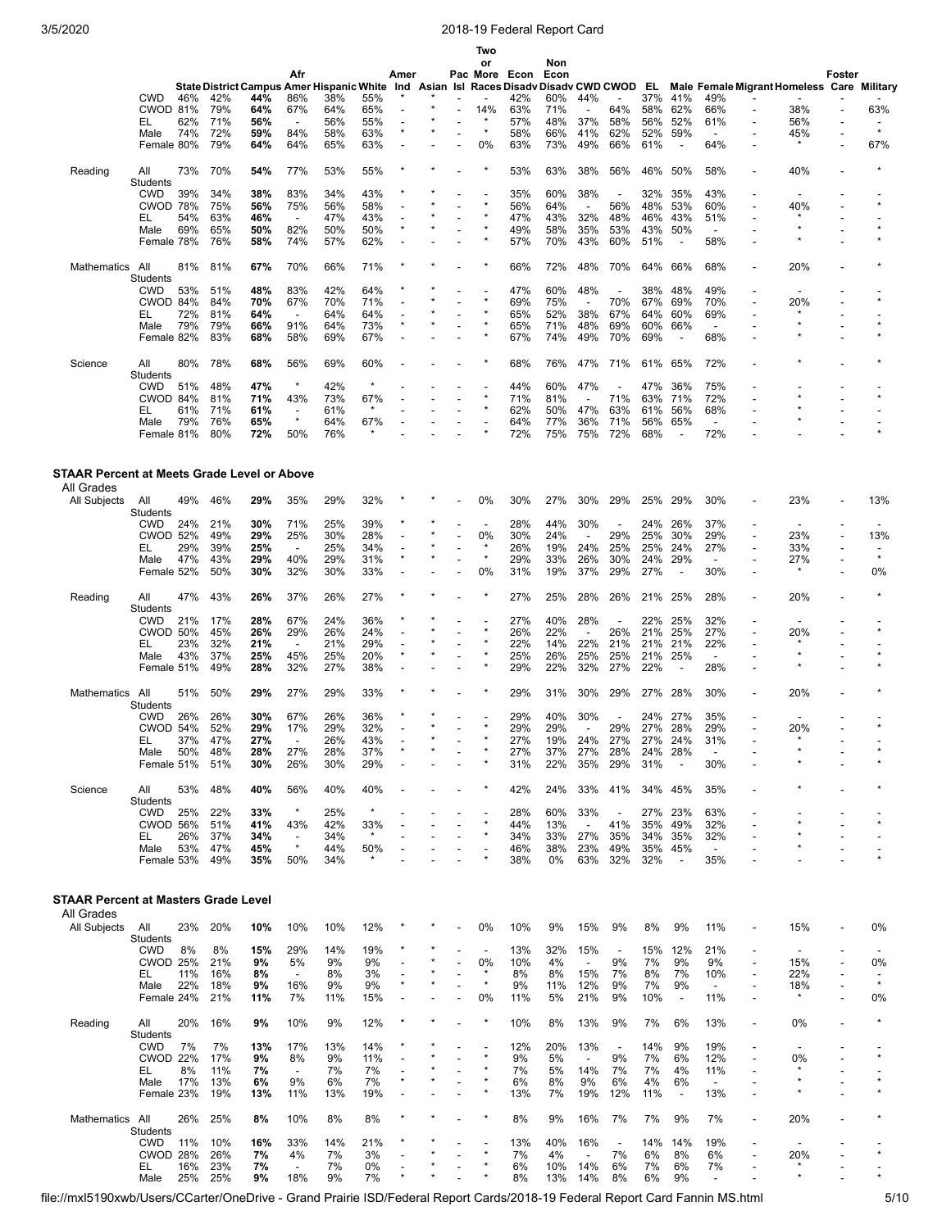|                                             |                        |            |            |                                           |                                 |            |                |      |                          | Two<br>or                |            | Non             |                                 |                                 |            |                                |                                 |                                                      |                                            |        |                                |
|---------------------------------------------|------------------------|------------|------------|-------------------------------------------|---------------------------------|------------|----------------|------|--------------------------|--------------------------|------------|-----------------|---------------------------------|---------------------------------|------------|--------------------------------|---------------------------------|------------------------------------------------------|--------------------------------------------|--------|--------------------------------|
|                                             |                        |            |            |                                           | Afr                             |            |                | Amer |                          | Pac More                 | Econ       | Econ            |                                 |                                 |            |                                |                                 |                                                      |                                            | Foster |                                |
|                                             |                        |            |            | State District Campus Amer Hispanic White |                                 |            |                | Ind  |                          | Asian Isl Races Disadv   |            | Disadv CWD CWOD |                                 |                                 | EL         |                                |                                 |                                                      | Male Female Migrant Homeless Care Military |        |                                |
|                                             | CWD<br>CWOD 81%        | 46%        | 42%<br>79% | 44%<br>64%                                | 86%<br>67%                      | 38%<br>64% | 55%<br>65%     |      |                          | 14%                      | 42%<br>63% | 60%<br>71%      | 44%                             | 64%                             | 37%<br>58% | 41%<br>62%                     | 49%<br>66%                      |                                                      | 38%                                        |        | 63%                            |
|                                             | EL                     | 62%        | 71%        | 56%                                       | $\overline{\phantom{a}}$        | 56%        | 55%            |      |                          | $\star$                  | 57%        | 48%             | 37%                             | 58%                             | 56%        | 52%                            | 61%                             |                                                      | 56%                                        |        | $\overline{\phantom{a}}$       |
|                                             | Male                   | 74%        | 72%        | 59%                                       | 84%                             | 58%        | 63%            |      |                          | $\star$                  | 58%        | 66%             | 41%                             | 62%                             | 52%        | 59%                            | $\overline{\phantom{a}}$        |                                                      | 45%                                        |        | $\star$                        |
|                                             | Female 80%             |            | 79%        | 64%                                       | 64%                             | 65%        | 63%            |      |                          | 0%                       | 63%        | 73%             | 49%                             | 66%                             | 61%        | $\overline{\phantom{a}}$       | 64%                             |                                                      | $\star$                                    |        | 67%                            |
| Reading                                     | All                    | 73%        | 70%        | 54%                                       | 77%                             | 53%        | 55%            |      |                          |                          | 53%        | 63%             | 38%                             | 56%                             | 46%        | 50%                            | 58%                             |                                                      | 40%                                        |        |                                |
|                                             | Students               |            |            |                                           |                                 |            |                |      |                          |                          |            |                 |                                 |                                 |            |                                |                                 |                                                      |                                            |        |                                |
|                                             | <b>CWD</b>             | 39%        | 34%        | 38%                                       | 83%                             | 34%        | 43%            |      |                          | $\star$                  | 35%        | 60%             | 38%                             | $\overline{\phantom{a}}$        | 32%        | 35%                            | 43%                             |                                                      |                                            |        |                                |
|                                             | <b>CWOD 78%</b><br>EL  | 54%        | 75%<br>63% | 56%<br>46%                                | 75%<br>$\overline{\phantom{a}}$ | 56%<br>47% | 58%<br>43%     |      |                          |                          | 56%<br>47% | 64%<br>43%      | $\overline{\phantom{a}}$<br>32% | 56%<br>48%                      | 48%<br>46% | 53%<br>43%                     | 60%<br>51%                      |                                                      | 40%                                        |        |                                |
|                                             | Male                   | 69%        | 65%        | 50%                                       | 82%                             | 50%        | 50%            |      |                          |                          | 49%        | 58%             | 35%                             | 53%                             | 43%        | 50%                            | $\overline{\phantom{a}}$        |                                                      | $\star$                                    |        |                                |
|                                             | Female 78%             |            | 76%        | 58%                                       | 74%                             | 57%        | 62%            |      |                          |                          | 57%        | 70%             | 43%                             | 60%                             | 51%        | $\blacksquare$                 | 58%                             |                                                      |                                            |        |                                |
|                                             |                        |            |            |                                           |                                 |            |                |      |                          |                          |            |                 |                                 |                                 |            |                                |                                 |                                                      |                                            |        |                                |
| Mathematics All                             | Students               | 81%        | 81%        | 67%                                       | 70%                             | 66%        | 71%            |      |                          |                          | 66%        | 72%             | 48%                             | 70%                             | 64%        | 66%                            | 68%                             |                                                      | 20%                                        |        |                                |
|                                             | CWD                    | 53%        | 51%        | 48%                                       | 83%                             | 42%        | 64%            |      |                          |                          | 47%        | 60%             | 48%                             |                                 | 38%        | 48%                            | 49%                             |                                                      |                                            |        |                                |
|                                             | CWOD 84%               |            | 84%        | 70%                                       | 67%                             | 70%        | 71%            |      |                          |                          | 69%        | 75%             | $\overline{\phantom{a}}$        | 70%                             | 67%        | 69%                            | 70%                             |                                                      | 20%                                        |        |                                |
|                                             | EL                     | 72%        | 81%        | 64%                                       | $\overline{a}$                  | 64%        | 64%            |      |                          |                          | 65%        | 52%             | 38%<br>48%                      | 67%                             | 64%        | 60%                            | 69%<br>$\overline{a}$           |                                                      |                                            |        |                                |
|                                             | Male<br>Female 82%     | 79%        | 79%<br>83% | 66%<br>68%                                | 91%<br>58%                      | 64%<br>69% | 73%<br>67%     |      |                          |                          | 65%<br>67% | 71%<br>74%      | 49%                             | 69%<br>70%                      | 60%<br>69% | 66%<br>÷,                      | 68%                             |                                                      |                                            |        |                                |
|                                             |                        |            |            |                                           |                                 |            |                |      |                          |                          |            |                 |                                 |                                 |            |                                |                                 |                                                      |                                            |        |                                |
| Science                                     | All                    | 80%        | 78%        | 68%                                       | 56%                             | 69%        | 60%            |      |                          |                          | 68%        | 76%             | 47%                             | 71%                             | 61%        | 65%                            | 72%                             |                                                      |                                            |        |                                |
|                                             | Students               |            |            |                                           | $\star$                         |            | $\star$        |      |                          |                          |            |                 |                                 |                                 |            |                                |                                 |                                                      |                                            |        |                                |
|                                             | CWD<br>CWOD 84%        | 51%        | 48%<br>81% | 47%<br>71%                                | 43%                             | 42%<br>73% | 67%            |      |                          |                          | 44%<br>71% | 60%<br>81%      | 47%<br>$\overline{\phantom{a}}$ | 71%                             | 47%<br>63% | 36%<br>71%                     | 75%<br>72%                      |                                                      |                                            |        |                                |
|                                             | EL                     | 61%        | 71%        | 61%                                       | $\overline{\phantom{a}}$        | 61%        | $\star$        |      |                          |                          | 62%        | 50%             | 47%                             | 63%                             | 61%        | 56%                            | 68%                             |                                                      |                                            |        |                                |
|                                             | Male                   | 79%        | 76%        | 65%                                       | $\star$                         | 64%        | 67%            |      |                          |                          | 64%        | 77%             | 36%                             | 71%                             | 56%        | 65%                            | $\overline{\phantom{a}}$        |                                                      |                                            |        |                                |
|                                             | Female 81%             |            | 80%        | 72%                                       | 50%                             | 76%        |                |      |                          |                          | 72%        | 75%             | 75%                             | 72%                             | 68%        |                                | 72%                             |                                                      |                                            |        |                                |
|                                             |                        |            |            |                                           |                                 |            |                |      |                          |                          |            |                 |                                 |                                 |            |                                |                                 |                                                      |                                            |        |                                |
| STAAR Percent at Meets Grade Level or Above |                        |            |            |                                           |                                 |            |                |      |                          |                          |            |                 |                                 |                                 |            |                                |                                 |                                                      |                                            |        |                                |
| All Grades                                  |                        |            |            |                                           |                                 |            |                |      |                          |                          |            |                 |                                 |                                 |            |                                |                                 |                                                      |                                            |        |                                |
| All Subjects                                | All                    | 49%        | 46%        | 29%                                       | 35%                             | 29%        | 32%            |      |                          | 0%                       | 30%        | 27%             | 30%                             | 29%                             | 25%        | 29%                            | 30%                             |                                                      | 23%                                        |        | 13%                            |
|                                             | Students               |            |            |                                           |                                 |            |                |      |                          |                          |            |                 |                                 |                                 |            |                                |                                 |                                                      |                                            |        |                                |
|                                             | CWD<br><b>CWOD 52%</b> | 24%        | 21%<br>49% | 30%<br>29%                                | 71%<br>25%                      | 25%<br>30% | 39%<br>28%     |      |                          | ٠<br>0%                  | 28%<br>30% | 44%<br>24%      | 30%<br>$\overline{\phantom{a}}$ | $\overline{\phantom{a}}$<br>29% | 24%<br>25% | 26%<br>30%                     | 37%<br>29%                      |                                                      | 23%                                        |        | 13%                            |
|                                             | EL                     | 29%        | 39%        | 25%                                       | $\overline{\phantom{a}}$        | 25%        | 34%            |      |                          |                          | 26%        | 19%             | 24%                             | 25%                             | 25%        | 24%                            | 27%                             |                                                      | 33%                                        |        |                                |
|                                             | Male                   | 47%        | 43%        | 29%                                       | 40%                             | 29%        | 31%            |      |                          | $\star$                  | 29%        | 33%             | 26%                             | 30%                             | 24%        | 29%                            | $\overline{\phantom{a}}$        |                                                      | 27%                                        |        | $\star$                        |
|                                             | Female 52%             |            | 50%        | 30%                                       | 32%                             | 30%        | 33%            |      |                          | 0%                       | 31%        | 19%             | 37%                             | 29%                             | 27%        | $\overline{\phantom{a}}$       | 30%                             |                                                      |                                            |        | 0%                             |
|                                             |                        |            |            |                                           |                                 |            |                |      |                          |                          |            |                 |                                 |                                 |            |                                |                                 |                                                      |                                            |        |                                |
| Reading                                     | All<br>Students        | 47%        | 43%        | 26%                                       | 37%                             | 26%        | 27%            |      |                          |                          | 27%        | 25%             | 28%                             | 26%                             | 21%        | 25%                            | 28%                             |                                                      | 20%                                        |        |                                |
|                                             | CWD                    | 21%        | 17%        | 28%                                       | 67%                             | 24%        | 36%            |      |                          |                          | 27%        | 40%             | 28%                             |                                 | 22%        | 25%                            | 32%                             |                                                      |                                            |        |                                |
|                                             | <b>CWOD 50%</b>        |            | 45%        | 26%                                       | 29%                             | 26%        | 24%            |      |                          |                          | 26%        | 22%             | $\overline{\phantom{a}}$        | 26%                             | 21%        | 25%                            | 27%                             | $\overline{\phantom{a}}$                             | 20%                                        |        |                                |
|                                             | EL<br>Male             | 23%<br>43% | 32%<br>37% | 21%<br>25%                                | $\overline{a}$<br>45%           | 21%<br>25% | 29%<br>20%     |      | $\overline{\phantom{a}}$ |                          | 22%<br>25% | 14%<br>26%      | 22%<br>25%                      | 21%<br>25%                      | 21%<br>21% | 21%<br>25%                     | 22%<br>$\overline{\phantom{a}}$ |                                                      |                                            |        |                                |
|                                             | Female 51%             |            | 49%        | 28%                                       | 32%                             | 27%        | 38%            |      |                          |                          | 29%        | 22%             | 32%                             | 27%                             | 22%        | $\overline{\phantom{a}}$       | 28%                             |                                                      |                                            |        |                                |
|                                             |                        |            |            |                                           |                                 |            |                |      |                          |                          |            |                 |                                 |                                 |            |                                |                                 |                                                      |                                            |        |                                |
| Mathematics                                 | All                    | 51%        | 50%        | 29%                                       | 27%                             | 29%        | 33%            |      |                          |                          | 29%        | 31%             | 30%                             | 29%                             | 27%        | 28%                            | 30%                             |                                                      | 20%                                        |        |                                |
|                                             | <b>Students</b><br>CWD | 26%        | 26%        | 30%                                       | 67%                             | 26%        | 36%            |      |                          |                          | 29%        | 40%             | 30%                             |                                 | 24%        | 27%                            | 35%                             |                                                      |                                            |        |                                |
|                                             | CWOD 54%               |            | 52%        | 29%                                       | 17%                             | 29%        | 32%            |      |                          |                          | 29%        | 29%             |                                 | 29%                             | 27%        | 28%                            | 29%                             |                                                      | 20%                                        |        |                                |
|                                             | EL                     | 37%        | 47%        | 27%                                       |                                 | 26%        | 43%            |      |                          |                          | 27%        | 19%             | 24%                             | 27%                             | 27%        | 24%                            | 31%                             |                                                      |                                            |        |                                |
|                                             | Male                   | 50%        | 48%        | 28%                                       | 27%                             | 28%        | 37%            |      |                          |                          | 27%        | 37%             | 27%                             | 28%                             | 24%        | 28%                            |                                 |                                                      |                                            |        |                                |
|                                             | Female 51%             |            | 51%        | 30%                                       | 26%                             | 30%        | 29%            |      |                          |                          | 31%        | 22%             | 35%                             | 29%                             | 31%        | ÷,                             | 30%                             |                                                      |                                            |        |                                |
| Science                                     | All                    | 53%        | 48%        | 40%                                       | 56%                             | 40%        | 40%            |      |                          |                          | 42%        | 24%             | 33%                             | 41%                             | 34%        | 45%                            | 35%                             |                                                      |                                            |        |                                |
|                                             | Students               |            |            |                                           |                                 |            |                |      |                          |                          |            |                 |                                 |                                 |            |                                |                                 |                                                      |                                            |        |                                |
|                                             | <b>CWD</b>             | 25%        | 22%        | 33%                                       | $\star$                         | 25%        | $\star$        |      |                          |                          | 28%        | 60%             | 33%                             | $\overline{\phantom{a}}$        | 27%        | 23%                            | 63%                             |                                                      |                                            |        | $\star$                        |
|                                             | <b>CWOD 56%</b><br>EL  | 26%        | 51%<br>37% | 41%<br>34%                                | 43%<br>$\overline{\phantom{a}}$ | 42%<br>34% | 33%<br>$\star$ |      |                          |                          | 44%<br>34% | 13%<br>33%      | $\overline{\phantom{a}}$<br>27% | 41%<br>35%                      | 35%<br>34% | 49%<br>35%                     | 32%<br>32%                      |                                                      |                                            |        |                                |
|                                             | Male                   | 53%        | 47%        | 45%                                       | $\star$                         | 44%        | 50%            |      |                          |                          | 46%        | 38%             | 23%                             | 49%                             | 35%        | 45%                            | $\blacksquare$                  |                                                      |                                            |        |                                |
|                                             | Female 53%             |            | 49%        | 35%                                       | 50%                             | 34%        |                |      |                          |                          | 38%        | 0%              | 63%                             | 32%                             | 32%        | $\blacksquare$                 | 35%                             |                                                      |                                            |        |                                |
|                                             |                        |            |            |                                           |                                 |            |                |      |                          |                          |            |                 |                                 |                                 |            |                                |                                 |                                                      |                                            |        |                                |
| <b>STAAR Percent at Masters Grade Level</b> |                        |            |            |                                           |                                 |            |                |      |                          |                          |            |                 |                                 |                                 |            |                                |                                 |                                                      |                                            |        |                                |
| All Grades                                  |                        |            |            |                                           |                                 |            |                |      |                          |                          |            |                 |                                 |                                 |            |                                |                                 |                                                      |                                            |        |                                |
| All Subjects                                | All                    | 23%        | 20%        | 10%                                       | 10%                             | 10%        | 12%            |      |                          | 0%                       | 10%        | 9%              | 15%                             | 9%                              | 8%         | 9%                             | 11%                             |                                                      | 15%                                        |        | 0%                             |
|                                             | Students               |            |            |                                           |                                 |            |                |      |                          |                          |            |                 |                                 |                                 |            |                                |                                 |                                                      |                                            |        |                                |
|                                             | <b>CWD</b>             | 8%         | 8%         | 15%                                       | 29%                             | 14%        | 19%            |      |                          | $\overline{\phantom{a}}$ | 13%        | 32%             | 15%                             | $\overline{\phantom{a}}$        | 15%        | 12%                            | 21%                             |                                                      |                                            |        |                                |
|                                             | <b>CWOD 25%</b><br>EL  | 11%        | 21%<br>16% | 9%<br>8%                                  | 5%<br>$\overline{\phantom{a}}$  | 9%<br>8%   | 9%<br>3%       |      |                          | 0%<br>$\star$            | 10%<br>8%  | 4%<br>8%        | $\overline{\phantom{a}}$<br>15% | 9%<br>7%                        | 7%<br>8%   | 9%<br>7%                       | 9%<br>10%                       | $\overline{\phantom{a}}$<br>$\overline{\phantom{a}}$ | 15%<br>22%                                 |        | 0%<br>$\overline{\phantom{a}}$ |
|                                             | Male                   | 22%        | 18%        | 9%                                        | 16%                             | 9%         | 9%             |      |                          | $\star$                  | 9%         | 11%             | 12%                             | 9%                              | 7%         | 9%                             | $\overline{\phantom{a}}$        |                                                      | 18%                                        |        | $\star$                        |
|                                             | Female 24%             |            | 21%        | 11%                                       | 7%                              | 11%        | 15%            |      |                          | 0%                       | 11%        | 5%              | 21%                             | 9%                              | 10%        | $\overline{\phantom{a}}$       | 11%                             |                                                      |                                            |        | 0%                             |
|                                             |                        |            |            |                                           |                                 |            |                |      |                          |                          |            |                 |                                 |                                 |            |                                |                                 |                                                      |                                            |        |                                |
| Reading                                     | All<br>Students        | 20%        | 16%        | 9%                                        | 10%                             | 9%         | 12%            |      |                          |                          | 10%        | 8%              | 13%                             | 9%                              | 7%         | 6%                             | 13%                             |                                                      | 0%                                         |        |                                |
|                                             | <b>CWD</b>             | 7%         | 7%         | 13%                                       | 17%                             | 13%        | 14%            |      |                          |                          | 12%        | 20%             | 13%                             | $\overline{\phantom{a}}$        | 14%        | 9%                             | 19%                             |                                                      |                                            |        |                                |
|                                             | <b>CWOD 22%</b>        |            | 17%        | 9%                                        | 8%                              | 9%         | 11%            |      |                          |                          | 9%         | 5%              | $\overline{\phantom{a}}$        | 9%                              | 7%         | 6%                             | 12%                             |                                                      | 0%                                         |        |                                |
|                                             | EL                     | 8%         | 11%        | 7%                                        | $\overline{\phantom{a}}$        | 7%         | 7%             |      |                          |                          | 7%         | 5%              | 14%                             | 7%                              | 7%         | 4%                             | 11%                             |                                                      |                                            |        |                                |
|                                             | Male<br>Female 23%     | 17%        | 13%<br>19% | 6%<br>13%                                 | 9%<br>11%                       | 6%<br>13%  | 7%<br>19%      |      |                          |                          | 6%<br>13%  | 8%<br>7%        | 9%<br>19%                       | 6%<br>12%                       | 4%<br>11%  | 6%<br>$\overline{\phantom{a}}$ | $\overline{\phantom{a}}$<br>13% |                                                      |                                            |        |                                |
|                                             |                        |            |            |                                           |                                 |            |                |      |                          |                          |            |                 |                                 |                                 |            |                                |                                 |                                                      |                                            |        |                                |
| Mathematics All                             |                        | 26%        | 25%        | 8%                                        | 10%                             | 8%         | 8%             |      |                          |                          | 8%         | 9%              | 16%                             | 7%                              | 7%         | 9%                             | 7%                              |                                                      | 20%                                        |        |                                |
|                                             | Students               |            |            |                                           |                                 |            |                |      |                          |                          |            |                 |                                 |                                 |            |                                |                                 |                                                      |                                            |        |                                |
|                                             | <b>CWD</b><br>CWOD 28% | 11%        | 10%<br>26% | 16%<br>7%                                 | 33%<br>4%                       | 14%<br>7%  | 21%<br>3%      |      |                          | $\star$                  | 13%<br>7%  | 40%<br>4%       | 16%<br>$\overline{\phantom{a}}$ | $\overline{\phantom{a}}$<br>7%  | 14%<br>6%  | 14%<br>8%                      | 19%<br>6%                       |                                                      | 20%                                        |        |                                |
|                                             | EL                     | 16%        | 23%        | 7%                                        | $\overline{\phantom{a}}$        | 7%         | 0%             |      |                          |                          | 6%         | 10%             | 14%                             | 6%                              | 7%         | 6%                             | 7%                              |                                                      | *                                          |        |                                |
|                                             | Male                   | 25%        | 25%        | 9%                                        | 18%                             | 9%         | 7%             |      |                          |                          | 8%         | 13%             | 14%                             | 8%                              | 6%         | 9%                             | $\overline{\phantom{a}}$        |                                                      | $\star$                                    |        |                                |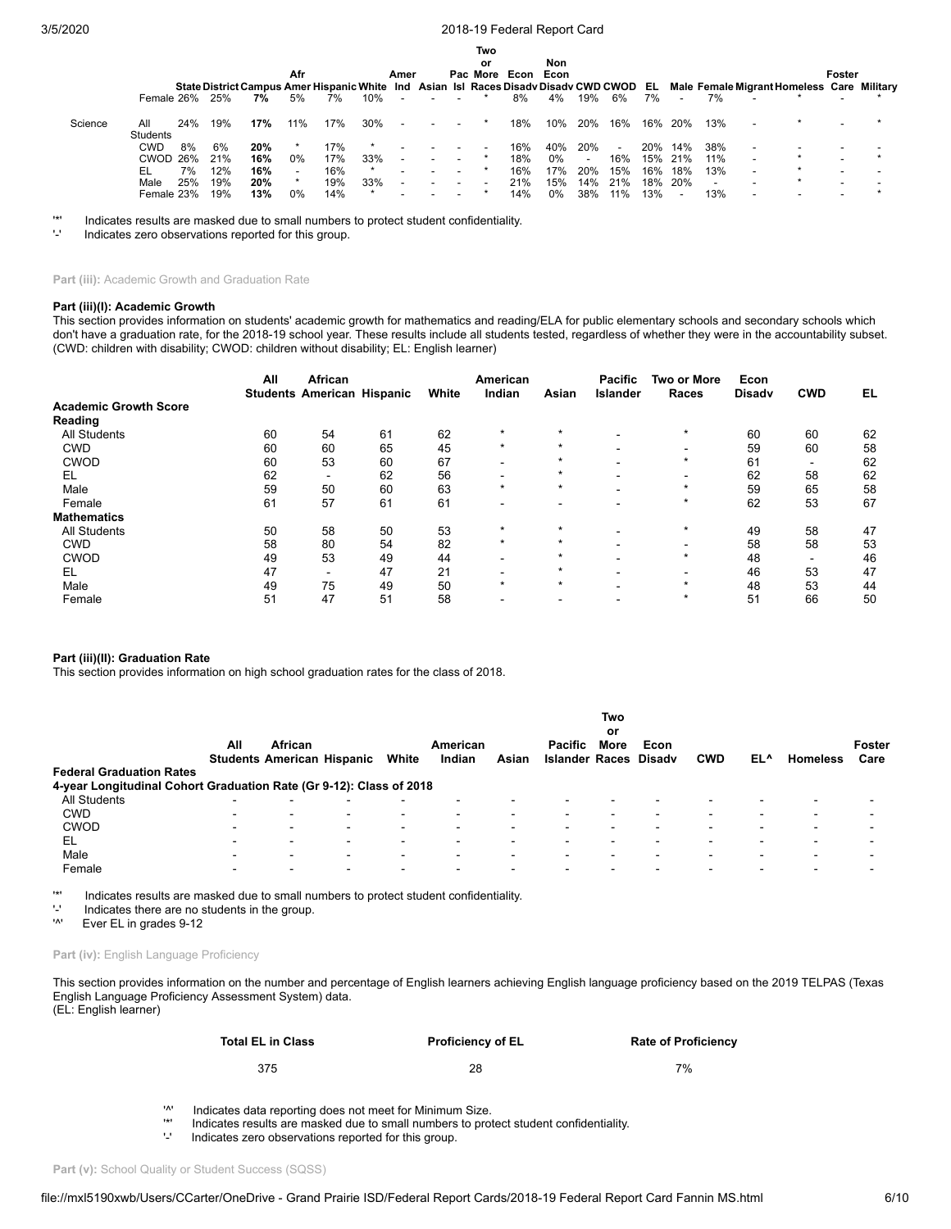|         |                 |     |     |                                                                                      |                          |     |         |                          |                          | Two      |           |     |     |     |     |                          |                          |                                            |        |  |
|---------|-----------------|-----|-----|--------------------------------------------------------------------------------------|--------------------------|-----|---------|--------------------------|--------------------------|----------|-----------|-----|-----|-----|-----|--------------------------|--------------------------|--------------------------------------------|--------|--|
|         |                 |     |     |                                                                                      |                          |     |         |                          |                          | or       |           | Non |     |     |     |                          |                          |                                            |        |  |
|         |                 |     |     |                                                                                      | Afr                      |     |         | Amer                     |                          | Pac More | Econ Econ |     |     |     |     |                          |                          |                                            | Foster |  |
|         |                 |     |     | State District Campus Amer Hispanic White Ind Asian Isl Races Disady Disady CWD CWOD |                          |     |         |                          |                          |          |           |     |     |     | EL. |                          |                          | Male Female Migrant Homeless Care Military |        |  |
|         | Female 26%      |     | 25% | 7%                                                                                   | 5%                       | 7%  | 10%     | $\overline{a}$           | $\overline{\phantom{a}}$ |          | 8%        | 4%  | 19% | 6%  | 7%  | $\overline{\phantom{0}}$ | 7%                       |                                            |        |  |
| Science | All<br>Students | 24% | 19% | 17%                                                                                  | 11%                      | 17% | 30%     |                          |                          |          | 18%       | 10% | 20% | 16% | 16% | 20%                      | 13%                      |                                            |        |  |
|         | <b>CWD</b>      | 8%  | 6%  | 20%                                                                                  |                          | 17% |         |                          |                          |          | 16%       | 40% | 20% |     | 20% | 14%                      | 38%                      |                                            |        |  |
|         | <b>CWOD</b>     | 26% | 21% | 16%                                                                                  | $0\%$                    | 17% | 33%     | $\overline{\phantom{a}}$ |                          |          | 18%       | 0%  |     | 16% | 15% | 21%                      | 11%                      |                                            |        |  |
|         | EL              | 7%  | 12% | 16%                                                                                  | $\overline{\phantom{a}}$ | 16% | $\star$ |                          |                          |          | 16%       | 17% | 20% | 15% | 16% | 18%                      | 13%                      |                                            |        |  |
|         | Male            | 25% | 19% | 20%                                                                                  |                          | 19% | 33%     | $\overline{\phantom{a}}$ | $\overline{\phantom{a}}$ |          | 21%       | 15% | 14% | 21% | 18% | 20%                      | $\overline{\phantom{a}}$ |                                            |        |  |
|         | Female 23%      |     | 19% | 13%                                                                                  | $0\%$                    | 14% |         |                          | $\overline{\phantom{0}}$ |          | 14%       | 0%  | 38% | 11% | 13% | $\overline{\phantom{0}}$ | 13%                      |                                            |        |  |

'\*' Indicates results are masked due to small numbers to protect student confidentiality.

Indicates zero observations reported for this group.

**Part (iii):** Academic Growth and Graduation Rate

#### **Part (iii)(I): Academic Growth**

This section provides information on students' academic growth for mathematics and reading/ELA for public elementary schools and secondary schools which don't have a graduation rate, for the 2018-19 school year. These results include all students tested, regardless of whether they were in the accountability subset. (CWD: children with disability; CWOD: children without disability; EL: English learner)

|                              | All | African<br><b>Students American Hispanic</b> |    | White | American<br>Indian       | Asian   | <b>Pacific</b><br>Islander | Two or More<br>Races | Econ<br><b>Disady</b> | <b>CWD</b>               | EL |
|------------------------------|-----|----------------------------------------------|----|-------|--------------------------|---------|----------------------------|----------------------|-----------------------|--------------------------|----|
| <b>Academic Growth Score</b> |     |                                              |    |       |                          |         |                            |                      |                       |                          |    |
| Reading                      |     |                                              |    |       |                          |         |                            |                      |                       |                          |    |
| <b>All Students</b>          | 60  | 54                                           | 61 | 62    | $\star$                  |         |                            | $\star$              | 60                    | 60                       | 62 |
| <b>CWD</b>                   | 60  | 60                                           | 65 | 45    | $\star$                  | $\star$ |                            |                      | 59                    | 60                       | 58 |
| <b>CWOD</b>                  | 60  | 53                                           | 60 | 67    |                          | $\star$ |                            | $\star$              | 61                    | -                        | 62 |
| EL                           | 62  | ۰                                            | 62 | 56    |                          | $\star$ | $\overline{\phantom{0}}$   | -                    | 62                    | 58                       | 62 |
| Male                         | 59  | 50                                           | 60 | 63    | $\star$                  | $\star$ |                            | $\star$              | 59                    | 65                       | 58 |
| Female                       | 61  | 57                                           | 61 | 61    | $\overline{\phantom{a}}$ |         |                            | $\star$              | 62                    | 53                       | 67 |
| <b>Mathematics</b>           |     |                                              |    |       |                          |         |                            |                      |                       |                          |    |
| <b>All Students</b>          | 50  | 58                                           | 50 | 53    | $\star$                  | $\star$ |                            | $\star$              | 49                    | 58                       | 47 |
| <b>CWD</b>                   | 58  | 80                                           | 54 | 82    | $\star$                  | $\star$ |                            | -                    | 58                    | 58                       | 53 |
| <b>CWOD</b>                  | 49  | 53                                           | 49 | 44    |                          |         |                            | $\star$              | 48                    | $\overline{\phantom{0}}$ | 46 |
| EL                           | 47  | -                                            | 47 | 21    |                          | $\star$ |                            |                      | 46                    | 53                       | 47 |
| Male                         | 49  | 75                                           | 49 | 50    | $\star$                  | $\star$ | $\overline{\phantom{0}}$   | $\star$              | 48                    | 53                       | 44 |
| Female                       | 51  | 47                                           | 51 | 58    | $\overline{\phantom{0}}$ | -       | $\,$                       | $\star$              | 51                    | 66                       | 50 |

### **Part (iii)(II): Graduation Rate**

This section provides information on high school graduation rates for the class of 2018.

|                                                                     |                          |                          |                                   |       |                    |       |                                         | Two        |                |                          |     |                 |                |
|---------------------------------------------------------------------|--------------------------|--------------------------|-----------------------------------|-------|--------------------|-------|-----------------------------------------|------------|----------------|--------------------------|-----|-----------------|----------------|
|                                                                     | All                      | African                  | <b>Students American Hispanic</b> | White | American<br>Indian | Asian | <b>Pacific</b><br><b>Islander Races</b> | or<br>More | Econ<br>Disadv | <b>CWD</b>               | EL^ | <b>Homeless</b> | Foster<br>Care |
| <b>Federal Graduation Rates</b>                                     |                          |                          |                                   |       |                    |       |                                         |            |                |                          |     |                 |                |
| 4-year Longitudinal Cohort Graduation Rate (Gr 9-12): Class of 2018 |                          |                          |                                   |       |                    |       |                                         |            |                |                          |     |                 |                |
| All Students                                                        | $\blacksquare$           | $\overline{\phantom{0}}$ | -                                 |       |                    |       |                                         |            |                |                          |     |                 |                |
| <b>CWD</b>                                                          | -                        | $\overline{\phantom{0}}$ | $\blacksquare$                    | -     | -                  |       |                                         |            |                | $\overline{\phantom{0}}$ |     |                 |                |
| <b>CWOD</b>                                                         | $\overline{\phantom{0}}$ | -                        | $\blacksquare$                    | -     | -                  |       |                                         |            |                | $\overline{\phantom{0}}$ |     | -               |                |
| EL                                                                  | $\overline{\phantom{0}}$ | -                        | $\overline{\phantom{0}}$          | -     | -                  |       |                                         |            |                | $\overline{\phantom{0}}$ | -   | -               |                |
| Male                                                                | -                        | -                        | -                                 | -     | -                  |       |                                         |            |                |                          | -   |                 |                |
| Female                                                              |                          | $\overline{\phantom{0}}$ | -                                 |       |                    |       |                                         |            |                |                          |     |                 |                |

'\*' Indicates results are masked due to small numbers to protect student confidentiality.

 $'$ -' Indicates there are no students in the group.<br>'<sup>A</sup>' Fver FI in grades 9-12

Ever EL in grades 9-12

### Part (iv): English Language Proficiency

This section provides information on the number and percentage of English learners achieving English language proficiency based on the 2019 TELPAS (Texas English Language Proficiency Assessment System) data. (EL: English learner)

> **Total EL in Class Proficiency of EL Rate of Proficiency** 375 28 7%

'^' Indicates data reporting does not meet for Minimum Size.

'\*' Indicates results are masked due to small numbers to protect student confidentiality.

Indicates zero observations reported for this group.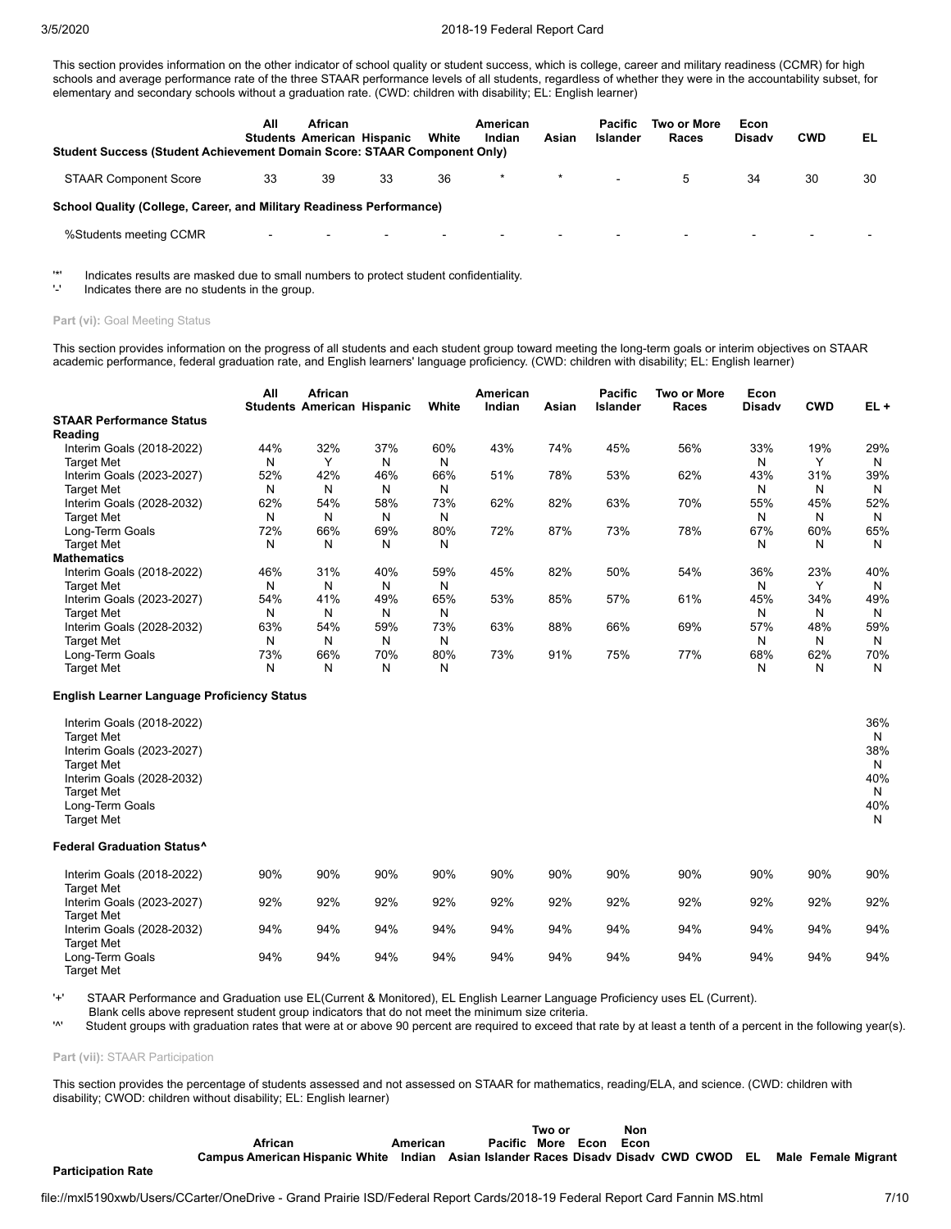This section provides information on the other indicator of school quality or student success, which is college, career and military readiness (CCMR) for high schools and average performance rate of the three STAAR performance levels of all students, regardless of whether they were in the accountability subset, for elementary and secondary schools without a graduation rate. (CWD: children with disability; EL: English learner)

| <b>Student Success (Student Achievement Domain Score: STAAR Component Only)</b> | All  | <b>African</b> | <b>Students American Hispanic</b> | White  | American<br>Indian | Asian   | Pacific<br>Islander | Two or More<br>Races | Econ<br><b>Disady</b> | <b>CWD</b> | EL |
|---------------------------------------------------------------------------------|------|----------------|-----------------------------------|--------|--------------------|---------|---------------------|----------------------|-----------------------|------------|----|
| <b>STAAR Component Score</b>                                                    | 33   | 39             | 33                                | 36     | $\ast$             | $\star$ | $\blacksquare$      | 5                    | 34                    | 30         | 30 |
| School Quality (College, Career, and Military Readiness Performance)            |      |                |                                   |        |                    |         |                     |                      |                       |            |    |
| %Students meeting CCMR                                                          | $\,$ | $\sim$         | $\overline{\phantom{a}}$          | $\sim$ | $\sim$             |         | $\,$                | $\blacksquare$       | $\sim$                | $\,$ $\,$  |    |

'\*' Indicates results are masked due to small numbers to protect student confidentiality.

Indicates there are no students in the group.

### Part (vi): Goal Meeting Status

This section provides information on the progress of all students and each student group toward meeting the long-term goals or interim objectives on STAAR academic performance, federal graduation rate, and English learners' language proficiency. (CWD: children with disability; EL: English learner)

|                                 | All | African                           |     | White | American<br>Indian |       | <b>Pacific</b><br>Islander | Two or More<br>Races | Econ<br><b>Disadv</b> | <b>CWD</b>   | $EL +$ |
|---------------------------------|-----|-----------------------------------|-----|-------|--------------------|-------|----------------------------|----------------------|-----------------------|--------------|--------|
| <b>STAAR Performance Status</b> |     | <b>Students American Hispanic</b> |     |       |                    | Asian |                            |                      |                       |              |        |
| Reading                         |     |                                   |     |       |                    |       |                            |                      |                       |              |        |
| Interim Goals (2018-2022)       | 44% | 32%                               | 37% | 60%   | 43%                | 74%   | 45%                        | 56%                  | 33%                   | 19%          | 29%    |
| <b>Target Met</b>               | N   | $\checkmark$                      | N   | N     |                    |       |                            |                      | N                     | $\checkmark$ | N      |
| Interim Goals (2023-2027)       | 52% | 42%                               | 46% | 66%   | 51%                | 78%   | 53%                        | 62%                  | 43%                   | 31%          | 39%    |
| <b>Target Met</b>               | N   | N                                 | N   | N     |                    |       |                            |                      | N                     | N            | N      |
| Interim Goals (2028-2032)       | 62% | 54%                               | 58% | 73%   | 62%                | 82%   | 63%                        | 70%                  | 55%                   | 45%          | 52%    |
| <b>Target Met</b>               | N   | N                                 | N   | N     |                    |       |                            |                      | N                     | N            | N      |
| Long-Term Goals                 | 72% | 66%                               | 69% | 80%   | 72%                | 87%   | 73%                        | 78%                  | 67%                   | 60%          | 65%    |
| <b>Target Met</b>               | N   | N                                 | N   | N     |                    |       |                            |                      | N                     | N            | N      |
| <b>Mathematics</b>              |     |                                   |     |       |                    |       |                            |                      |                       |              |        |
| Interim Goals (2018-2022)       | 46% | 31%                               | 40% | 59%   | 45%                | 82%   | 50%                        | 54%                  | 36%                   | 23%          | 40%    |
| <b>Target Met</b>               | N   | N                                 | N   | N     |                    |       |                            |                      | N                     | $\check{ }$  | N      |
| Interim Goals (2023-2027)       | 54% | 41%                               | 49% | 65%   | 53%                | 85%   | 57%                        | 61%                  | 45%                   | 34%          | 49%    |
| <b>Target Met</b>               | N   | N                                 | N   | N     |                    |       |                            |                      | N                     | N            | N      |
| Interim Goals (2028-2032)       | 63% | 54%                               | 59% | 73%   | 63%                | 88%   | 66%                        | 69%                  | 57%                   | 48%          | 59%    |
| <b>Target Met</b>               | N   | N                                 | N   | N     |                    |       |                            |                      | N                     | N            | N      |
| Long-Term Goals                 | 73% | 66%                               | 70% | 80%   | 73%                | 91%   | 75%                        | 77%                  | 68%                   | 62%          | 70%    |
| <b>Target Met</b>               | N   | N                                 | N   | N     |                    |       |                            |                      | N                     | N            | N      |

#### **English Learner Language Proficiency Status**

| Interim Goals (2018-2022)<br><b>Target Met</b><br>Interim Goals (2023-2027)<br><b>Target Met</b><br>Interim Goals (2028-2032)<br><b>Target Met</b><br>Long-Term Goals<br><b>Target Met</b> |     |     |     |     |     |     |     |     |     |     | 36%<br>N<br>38%<br>N<br>40%<br>N<br>40%<br>N |
|--------------------------------------------------------------------------------------------------------------------------------------------------------------------------------------------|-----|-----|-----|-----|-----|-----|-----|-----|-----|-----|----------------------------------------------|
| <b>Federal Graduation Status^</b>                                                                                                                                                          |     |     |     |     |     |     |     |     |     |     |                                              |
| Interim Goals (2018-2022)<br><b>Target Met</b>                                                                                                                                             | 90% | 90% | 90% | 90% | 90% | 90% | 90% | 90% | 90% | 90% | 90%                                          |
| Interim Goals (2023-2027)                                                                                                                                                                  | 92% | 92% | 92% | 92% | 92% | 92% | 92% | 92% | 92% | 92% | 92%                                          |
| <b>Target Met</b>                                                                                                                                                                          |     |     |     |     |     |     |     |     |     |     |                                              |
| Interim Goals (2028-2032)<br><b>Target Met</b>                                                                                                                                             | 94% | 94% | 94% | 94% | 94% | 94% | 94% | 94% | 94% | 94% | 94%                                          |
| Long-Term Goals                                                                                                                                                                            | 94% | 94% | 94% | 94% | 94% | 94% | 94% | 94% | 94% | 94% | 94%                                          |

Target Met

'+' STAAR Performance and Graduation use EL(Current & Monitored), EL English Learner Language Proficiency uses EL (Current).

Blank cells above represent student group indicators that do not meet the minimum size criteria.<br>Student groups with graduation rates that were at or above 90 percent are required to exceed the

Student groups with graduation rates that were at or above 90 percent are required to exceed that rate by at least a tenth of a percent in the following year(s).

**Part (vii):** STAAR Participation

This section provides the percentage of students assessed and not assessed on STAAR for mathematics, reading/ELA, and science. (CWD: children with disability; CWOD: children without disability; EL: English learner)

|                           |                                                                                                          |          |                   | Non<br>Two or |  |      |  |  |
|---------------------------|----------------------------------------------------------------------------------------------------------|----------|-------------------|---------------|--|------|--|--|
|                           | African                                                                                                  | American | Pacific More Econ |               |  | Econ |  |  |
|                           | Campus American Hispanic White Indian Asian Islander Races Disady Disady CWD CWOD EL Male Female Migrant |          |                   |               |  |      |  |  |
| <b>Participation Rate</b> |                                                                                                          |          |                   |               |  |      |  |  |
|                           |                                                                                                          |          |                   |               |  |      |  |  |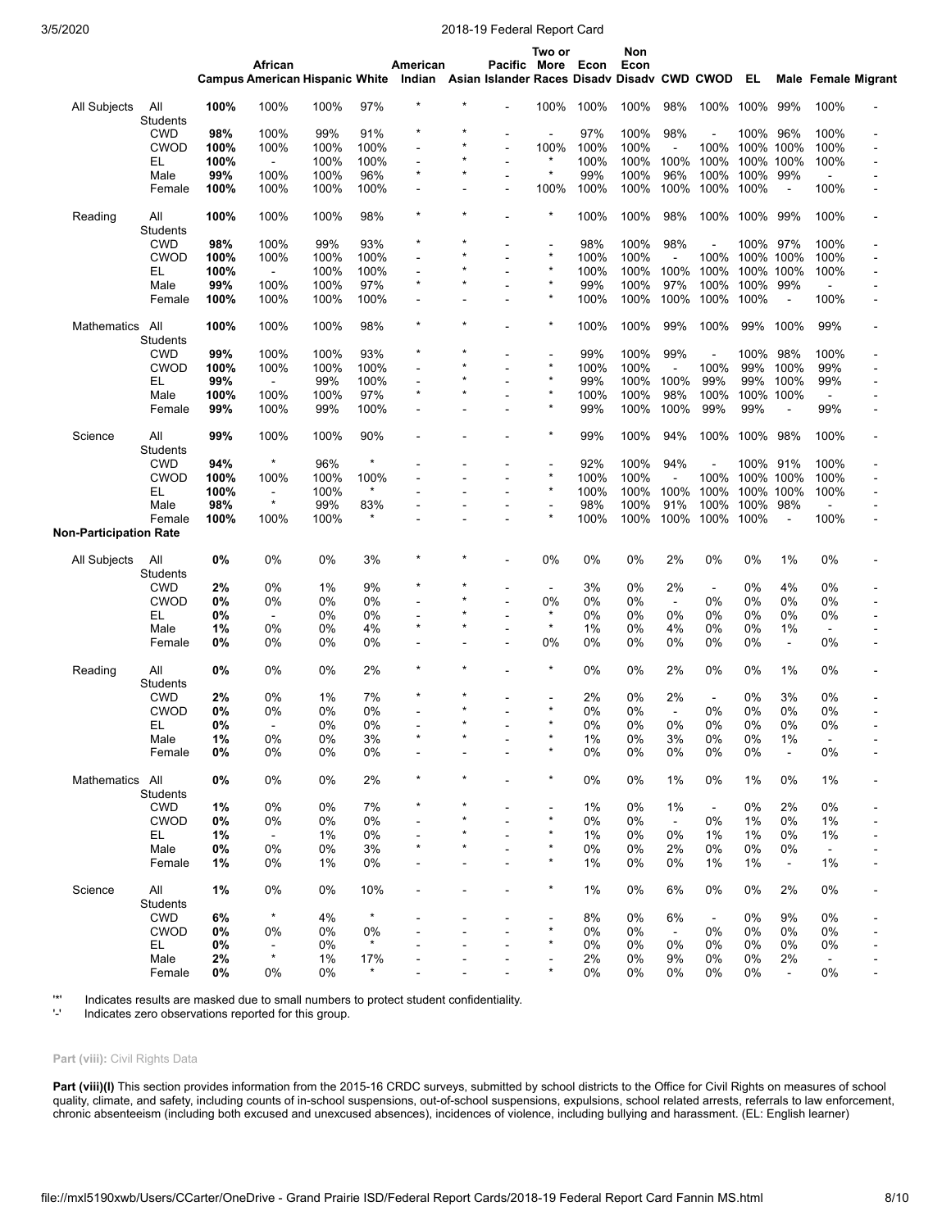|                        |                        |      | African<br>Campus American Hispanic White Indian Asian Islander Races Disady Disady CWD CWOD EL |      |         | American       |         | Pacific More Econ | Two or         |      | Non<br>Econ |                      |                          |      |                      |                          | Male Female Migrant |
|------------------------|------------------------|------|-------------------------------------------------------------------------------------------------|------|---------|----------------|---------|-------------------|----------------|------|-------------|----------------------|--------------------------|------|----------------------|--------------------------|---------------------|
| All Subjects           | All<br><b>Students</b> | 100% | 100%                                                                                            | 100% | 97%     |                |         |                   | 100%           | 100% | 100%        | 98%                  | 100%                     | 100% | 99%                  | 100%                     |                     |
|                        | <b>CWD</b>             | 98%  | 100%                                                                                            | 99%  | 91%     | $\star$        |         |                   |                | 97%  | 100%        | 98%                  |                          | 100% | 96%                  | 100%                     |                     |
|                        | <b>CWOD</b>            | 100% | 100%                                                                                            | 100% | 100%    | ÷              |         |                   | 100%           | 100% | 100%        | $\blacksquare$       | 100%                     |      | 100% 100%            | 100%                     | $\overline{a}$      |
|                        | EL                     | 100% | $\blacksquare$                                                                                  | 100% | 100%    |                |         | $\sim$            | $\star$        | 100% | 100%        | 100%                 | 100%                     |      | 100% 100%            | 100%                     |                     |
|                        | Male                   | 99%  | 100%                                                                                            | 100% | 96%     | $\star$        | $\star$ | $\blacksquare$    | $\star$        | 99%  | 100%        | 96%                  | 100%                     | 100% | 99%                  | ÷.                       |                     |
|                        | Female                 | 100% | 100%                                                                                            | 100% | 100%    |                |         |                   | 100%           | 100% | 100%        | 100%                 | 100%                     | 100% | $\ddot{\phantom{a}}$ | 100%                     |                     |
|                        |                        |      |                                                                                                 |      |         |                |         |                   |                |      |             |                      |                          |      |                      |                          |                     |
| Reading                | All<br><b>Students</b> | 100% | 100%                                                                                            | 100% | 98%     |                |         |                   | ×              | 100% | 100%        | 98%                  | 100%                     | 100% | 99%                  | 100%                     |                     |
|                        | <b>CWD</b>             | 98%  | 100%                                                                                            | 99%  | 93%     |                |         |                   | ä,<br>$\star$  | 98%  | 100%        | 98%                  |                          | 100% | 97%                  | 100%                     |                     |
|                        | <b>CWOD</b>            | 100% | 100%                                                                                            | 100% | 100%    |                |         |                   |                | 100% | 100%        | ÷,                   | 100%                     |      | 100% 100%            | 100%                     | $\blacksquare$      |
|                        | EL.                    | 100% | $\blacksquare$                                                                                  | 100% | 100%    |                |         |                   | $\star$        | 100% | 100%        | 100%                 | 100%                     |      | 100% 100%            | 100%                     |                     |
|                        | Male                   | 99%  | 100%                                                                                            | 100% | 97%     | $\star$        | $\star$ | $\blacksquare$    | $\star$        | 99%  | 100%        | 97%                  | 100%                     | 100% | 99%                  | ä,                       |                     |
|                        | Female                 | 100% | 100%                                                                                            | 100% | 100%    | $\blacksquare$ |         |                   | $\star$        | 100% | 100%        | 100%                 | 100%                     | 100% | $\blacksquare$       | 100%                     |                     |
| Mathematics            | All<br><b>Students</b> | 100% | 100%                                                                                            | 100% | 98%     | $\star$        | $\star$ |                   | $\star$        | 100% | 100%        | 99%                  | 100%                     | 99%  | 100%                 | 99%                      |                     |
|                        | <b>CWD</b>             | 99%  | 100%                                                                                            | 100% | 93%     |                |         |                   | $\blacksquare$ | 99%  | 100%        | 99%                  | L,                       | 100% | 98%                  | 100%                     |                     |
|                        | CWOD                   | 100% | 100%                                                                                            | 100% | 100%    |                |         |                   | $\star$        | 100% | 100%        | $\ddot{\phantom{a}}$ | 100%                     | 99%  | 100%                 | 99%                      |                     |
|                        | EL                     | 99%  | $\blacksquare$                                                                                  | 99%  | 100%    |                |         |                   | $\star$        | 99%  | 100%        | 100%                 | 99%                      | 99%  | 100%                 | 99%                      |                     |
|                        | Male                   | 100% | 100%                                                                                            | 100% | 97%     | $\star$        |         | $\blacksquare$    | $\star$        | 100% | 100%        | 98%                  | 100%                     |      | 100% 100%            | $\blacksquare$           |                     |
|                        | Female                 | 99%  | 100%                                                                                            | 99%  | 100%    |                |         |                   | $\star$        | 99%  | 100%        | 100%                 | 99%                      | 99%  |                      | 99%                      |                     |
| Science                | All<br><b>Students</b> | 99%  | 100%                                                                                            | 100% | 90%     |                |         |                   | *              | 99%  | 100%        | 94%                  | 100%                     | 100% | 98%                  | 100%                     |                     |
|                        | <b>CWD</b>             | 94%  | $\star$                                                                                         | 96%  | $\ast$  |                |         |                   | $\blacksquare$ | 92%  | 100%        | 94%                  | $\overline{\phantom{a}}$ | 100% | 91%                  | 100%                     |                     |
|                        | <b>CWOD</b>            | 100% | 100%                                                                                            | 100% | 100%    |                |         |                   | $\star$        | 100% | 100%        | ä,                   | 100%                     |      | 100% 100%            | 100%                     |                     |
|                        | EL                     | 100% | $\blacksquare$                                                                                  | 100% | $\star$ |                |         |                   | ×              | 100% | 100%        | 100%                 | 100%                     |      | 100% 100%            | 100%                     |                     |
|                        | Male                   | 98%  | $\star$                                                                                         | 99%  | 83%     |                |         |                   | $\overline{a}$ | 98%  | 100%        | 91%                  | 100%                     | 100% | 98%                  |                          |                     |
|                        | Female                 | 100% | 100%                                                                                            | 100% |         |                |         |                   | $\star$        | 100% | 100%        | 100%                 | 100%                     | 100% |                      | 100%                     |                     |
| Non-Participation Rate |                        |      |                                                                                                 |      |         |                |         |                   |                |      |             |                      |                          |      |                      |                          |                     |
| All Subjects           | All<br><b>Students</b> | 0%   | 0%                                                                                              | 0%   | 3%      | $\star$        |         |                   | 0%             | 0%   | 0%          | 2%                   | 0%                       | 0%   | 1%                   | 0%                       |                     |
|                        | <b>CWD</b>             | 2%   | 0%                                                                                              | 1%   | 9%      | $\star$        |         |                   | $\blacksquare$ | 3%   | 0%          | 2%                   | $\blacksquare$           | 0%   | 4%                   | 0%                       |                     |
|                        | <b>CWOD</b>            | 0%   | 0%                                                                                              | 0%   | 0%      |                |         |                   | 0%             | 0%   | 0%          | $\blacksquare$       | 0%                       | 0%   | 0%                   | 0%                       | $\overline{a}$      |
|                        | EL                     | 0%   | $\blacksquare$                                                                                  | 0%   | 0%      |                |         |                   | $\star$        | 0%   | 0%          | 0%                   | 0%                       | 0%   | 0%                   | 0%                       |                     |
|                        | Male                   | 1%   | 0%                                                                                              | 0%   | 4%      | $\star$        | $\star$ | $\blacksquare$    | $\star$        | 1%   | 0%          | 4%                   | 0%                       | 0%   | 1%                   | $\overline{\phantom{a}}$ |                     |
|                        | Female                 | 0%   | 0%                                                                                              | 0%   | 0%      | $\blacksquare$ |         |                   | 0%             | 0%   | 0%          | 0%                   | 0%                       | 0%   | $\blacksquare$       | 0%                       |                     |
| Reading                | All<br><b>Students</b> | 0%   | 0%                                                                                              | 0%   | 2%      | $\star$        |         |                   | *              | 0%   | 0%          | 2%                   | 0%                       | 0%   | 1%                   | 0%                       |                     |
|                        | <b>CWD</b>             | 2%   | 0%                                                                                              | 1%   | 7%      | $\star$        | $\star$ |                   |                | 2%   | 0%          | 2%                   | $\blacksquare$           | 0%   | 3%                   | 0%                       |                     |
|                        | <b>CWOD</b>            | 0%   | 0%                                                                                              | 0%   | 0%      |                | $\star$ |                   | $\star$        | 0%   | 0%          | $\blacksquare$       | 0%                       | 0%   | 0%                   | 0%                       |                     |
|                        | EL                     | 0%   |                                                                                                 | 0%   | $0\%$   |                | $\star$ |                   | $\star$        | 0%   | 0%          | 0%                   | 0%                       | 0%   | 0%                   | 0%                       |                     |
|                        | Male                   | 1%   | 0%                                                                                              | 0%   | 3%      |                |         |                   |                | 1%   | 0%          | 3%                   | 0%                       | 0%   | 1%                   |                          |                     |
|                        | Female                 | 0%   | 0%                                                                                              | 0%   | 0%      |                |         |                   |                | 0%   | 0%          | 0%                   | 0%                       | 0%   | $\blacksquare$       | 0%                       |                     |
| Mathematics            | All<br><b>Students</b> | 0%   | 0%                                                                                              | 0%   | 2%      | $\star$        | $\star$ |                   | *              | 0%   | 0%          | 1%                   | 0%                       | 1%   | 0%                   | 1%                       |                     |
|                        | <b>CWD</b>             | 1%   | 0%                                                                                              | 0%   | 7%      |                |         |                   |                | 1%   | 0%          | 1%                   |                          | 0%   | 2%                   | 0%                       |                     |
|                        | <b>CWOD</b>            |      |                                                                                                 |      |         |                |         |                   | ×              |      |             |                      | $\blacksquare$           |      |                      |                          |                     |
|                        |                        | 0%   | 0%                                                                                              | 0%   | 0%      |                |         |                   |                | 0%   | 0%          | $\blacksquare$       | 0%                       | 1%   | 0%                   | 1%                       |                     |
|                        | EL                     | 1%   | $\blacksquare$                                                                                  | 1%   | 0%      |                |         |                   |                | 1%   | 0%          | 0%                   | 1%                       | 1%   | 0%                   | 1%                       |                     |
|                        | Male                   | 0%   | 0%                                                                                              | 0%   | 3%      | $\star$        |         |                   | ×              | 0%   | 0%          | 2%                   | 0%                       | 0%   | 0%                   | $\blacksquare$           |                     |
|                        | Female                 | 1%   | 0%                                                                                              | 1%   | 0%      |                |         |                   | ×              | 1%   | 0%          | 0%                   | 1%                       | 1%   | $\blacksquare$       | 1%                       |                     |
| Science                | All<br><b>Students</b> | 1%   | 0%                                                                                              | 0%   | 10%     |                |         |                   | *              | 1%   | 0%          | 6%                   | 0%                       | 0%   | 2%                   | 0%                       |                     |
|                        | <b>CWD</b>             | 6%   | $\star$                                                                                         | 4%   | ×       |                |         |                   |                | 8%   | 0%          | 6%                   | $\blacksquare$           | 0%   | 9%                   | 0%                       |                     |
|                        | <b>CWOD</b>            | 0%   | 0%                                                                                              | 0%   | 0%      |                |         |                   | $\star$        | 0%   | 0%          | $\blacksquare$       | 0%                       | 0%   | 0%                   | 0%                       |                     |
|                        | EL.                    | 0%   | $\blacksquare$                                                                                  | 0%   | $\star$ |                |         |                   |                | 0%   | 0%          | 0%                   | 0%                       | 0%   | 0%                   | 0%                       |                     |
|                        | Male                   | 2%   | $\star$                                                                                         | 1%   | 17%     |                |         |                   |                | 2%   | 0%          | 9%                   | 0%                       | 0%   | 2%                   |                          |                     |
|                        | Female                 | 0%   | 0%                                                                                              | 0%   | $\star$ |                |         |                   |                | 0%   | 0%          | 0%                   | 0%                       | 0%   | $\blacksquare$       | 0%                       |                     |

'\*' Indicates results are masked due to small numbers to protect student confidentiality.

Indicates zero observations reported for this group.

#### **Part (viii):** Civil Rights Data

Part (viii)(I) This section provides information from the 2015-16 CRDC surveys, submitted by school districts to the Office for Civil Rights on measures of school quality, climate, and safety, including counts of in-school suspensions, out-of-school suspensions, expulsions, school related arrests, referrals to law enforcement, chronic absenteeism (including both excused and unexcused absences), incidences of violence, including bullying and harassment. (EL: English learner)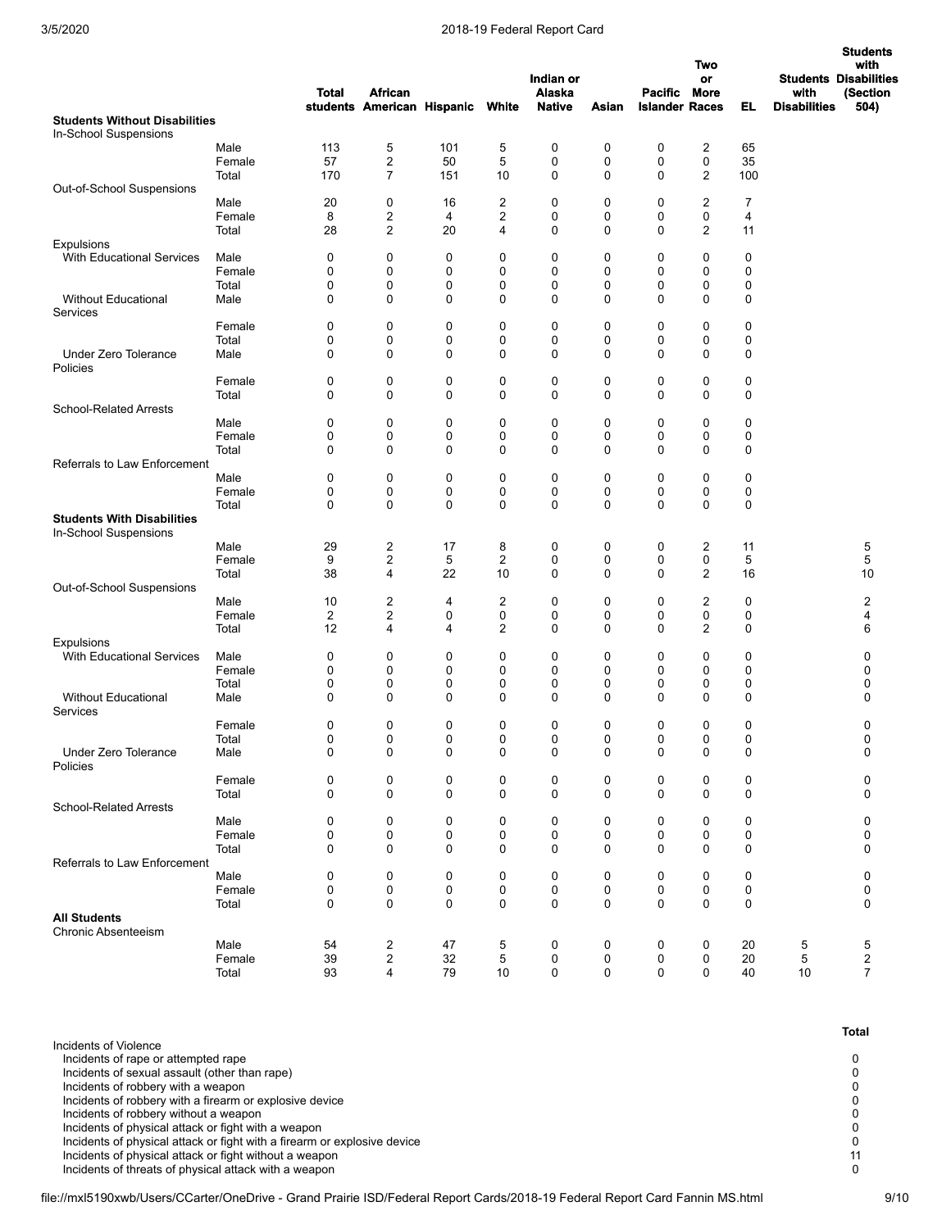|                                                       |                 | <b>Total</b>     | <b>African</b><br>students American Hispanic |             | White                   | Indian or<br>Alaska<br><b>Native</b> | Asian  | Pacific More<br><b>Islander Races</b> | Two<br>or        | EL             | with<br><b>Disabilities</b> | <b>Students</b><br>with<br><b>Students Disabilities</b><br>(Section<br>504) |
|-------------------------------------------------------|-----------------|------------------|----------------------------------------------|-------------|-------------------------|--------------------------------------|--------|---------------------------------------|------------------|----------------|-----------------------------|-----------------------------------------------------------------------------|
| <b>Students Without Disabilities</b>                  |                 |                  |                                              |             |                         |                                      |        |                                       |                  |                |                             |                                                                             |
| In-School Suspensions                                 | Male            | 113              | 5                                            | 101         | 5                       | 0                                    | 0      | $\mathbf 0$                           | $\overline{2}$   | 65             |                             |                                                                             |
|                                                       | Female          | 57               | 2                                            | 50          | 5                       | 0                                    | 0      | 0                                     | $\mathbf 0$      | 35             |                             |                                                                             |
|                                                       | Total           | 170              | 7                                            | 151         | 10                      | 0                                    | 0      | $\mathbf 0$                           | $\overline{2}$   | 100            |                             |                                                                             |
| Out-of-School Suspensions                             |                 |                  |                                              |             |                         |                                      |        |                                       |                  |                |                             |                                                                             |
|                                                       | Male            | 20               | 0                                            | 16          | 2                       | $\mathbf 0$                          | 0      | 0                                     | $\overline{2}$   | $\overline{7}$ |                             |                                                                             |
|                                                       | Female          | 8                | 2                                            | 4           | 2                       | 0                                    | 0      | 0                                     | $\mathbf 0$      | 4              |                             |                                                                             |
|                                                       | Total           | 28               | 2                                            | 20          | 4                       | 0                                    | 0      | $\mathbf 0$                           | $\overline{2}$   | 11             |                             |                                                                             |
| <b>Expulsions</b><br><b>With Educational Services</b> | Male            | 0                | 0                                            | 0           | 0                       | 0                                    | 0      | 0                                     | 0                | 0              |                             |                                                                             |
|                                                       | Female          | 0                | 0                                            | 0           | 0                       | 0                                    | 0      | 0                                     | $\mathbf 0$      | 0              |                             |                                                                             |
|                                                       | Total           | 0                | 0                                            | $\mathbf 0$ | 0                       | 0                                    | 0      | 0                                     | 0                | 0              |                             |                                                                             |
| <b>Without Educational</b><br>Services                | Male            | $\mathbf 0$      | $\mathbf 0$                                  | 0           | 0                       | 0                                    | 0      | $\mathbf 0$                           | 0                | 0              |                             |                                                                             |
|                                                       | Female          | 0                | 0                                            | 0           | 0                       | 0                                    | 0      | 0                                     | 0                | 0              |                             |                                                                             |
|                                                       | Total           | 0                | 0                                            | 0           | 0                       | 0                                    | 0      | 0                                     | 0                | 0              |                             |                                                                             |
| <b>Under Zero Tolerance</b><br>Policies               | Male            | 0                | $\mathbf 0$                                  | 0           | 0                       | 0                                    | 0      | 0                                     | 0                | 0              |                             |                                                                             |
|                                                       | Female          | 0                | 0                                            | 0           | 0                       | 0                                    | 0      | 0                                     | 0                | 0              |                             |                                                                             |
|                                                       | Total           | $\mathbf 0$      | 0                                            | 0           | 0                       | 0                                    | 0      | $\mathbf 0$                           | 0                | 0              |                             |                                                                             |
| <b>School-Related Arrests</b>                         |                 |                  |                                              |             |                         |                                      |        |                                       |                  |                |                             |                                                                             |
|                                                       | Male            | 0                | 0                                            | 0           | 0                       | 0                                    | 0      | 0                                     | 0                | 0              |                             |                                                                             |
|                                                       | Female<br>Total | 0<br>$\mathbf 0$ | 0<br>$\mathbf 0$                             | 0<br>0      | 0<br>0                  | 0<br>0                               | 0<br>0 | 0<br>$\mathbf 0$                      | 0<br>$\mathbf 0$ | 0<br>0         |                             |                                                                             |
| Referrals to Law Enforcement                          |                 |                  |                                              |             |                         |                                      |        |                                       |                  |                |                             |                                                                             |
|                                                       | Male            | 0                | 0                                            | 0           | 0                       | 0                                    | 0      | 0                                     | 0                | 0              |                             |                                                                             |
|                                                       | Female          | 0                | 0                                            | 0           | 0                       | 0                                    | 0      | 0                                     | 0                | 0              |                             |                                                                             |
|                                                       | Total           | $\mathbf 0$      | 0                                            | 0           | 0                       | 0                                    | 0      | $\mathbf 0$                           | 0                | 0              |                             |                                                                             |
| <b>Students With Disabilities</b>                     |                 |                  |                                              |             |                         |                                      |        |                                       |                  |                |                             |                                                                             |
| In-School Suspensions                                 | Male            | 29               | 2                                            | 17          | 8                       | 0                                    | 0      | 0                                     | $\overline{2}$   |                |                             | 5                                                                           |
|                                                       | Female          | 9                | 2                                            | 5           | $\overline{\mathbf{c}}$ | 0                                    | 0      | 0                                     | $\pmb{0}$        | 11<br>5        |                             | 5                                                                           |
|                                                       | Total           | 38               | 4                                            | 22          | 10                      | 0                                    | 0      | $\mathbf 0$                           | $\overline{2}$   | 16             |                             | 10                                                                          |
| Out-of-School Suspensions                             |                 |                  |                                              |             |                         |                                      |        |                                       |                  |                |                             |                                                                             |
|                                                       | Male            | 10               | 2                                            | 4           | 2                       | 0                                    | 0      | 0                                     | $\overline{c}$   | 0              |                             | $\overline{\mathbf{c}}$                                                     |
|                                                       | Female          | $\overline{2}$   | 2                                            | 0           | 0                       | 0                                    | 0      | 0                                     | 0                | 0              |                             | 4                                                                           |
|                                                       | Total           | 12               | 4                                            | 4           | $\overline{2}$          | 0                                    | 0      | 0                                     | $\overline{2}$   | 0              |                             | 6                                                                           |
| <b>Expulsions</b><br><b>With Educational Services</b> |                 |                  |                                              |             |                         |                                      |        |                                       |                  |                |                             |                                                                             |
|                                                       | Male<br>Female  | 0<br>0           | 0<br>0                                       | 0<br>0      | 0<br>0                  | 0<br>0                               | 0<br>0 | 0<br>0                                | 0<br>0           | 0<br>0         |                             | 0<br>0                                                                      |
|                                                       | Total           | 0                | 0                                            | 0           | 0                       | 0                                    | 0      | 0                                     | 0                | 0              |                             | 0                                                                           |
| <b>Without Educational</b>                            | Male            | 0                | 0                                            | 0           | 0                       | 0                                    | 0      | $\mathbf 0$                           | 0                | 0              |                             | 0                                                                           |
| Services                                              |                 |                  |                                              |             |                         |                                      |        |                                       |                  |                |                             |                                                                             |
|                                                       | Female          | 0                | 0                                            | 0           | 0                       | 0                                    | 0      | 0                                     | 0                | 0              |                             | 0                                                                           |
|                                                       | Total           | $\Omega$         | 0                                            | $\Omega$    | $\Omega$                | $\Omega$                             | 0      | 0                                     | $\Omega$         | $\Omega$       |                             | $\Omega$                                                                    |
| Under Zero Tolerance<br>Policies                      | Male            | 0                | 0                                            | 0           | 0                       | 0                                    | 0      | $\mathbf 0$                           | $\mathbf 0$      | 0              |                             | 0                                                                           |
|                                                       | Female          | 0                | 0                                            | 0           | 0                       | 0                                    | 0      | 0                                     | 0                | 0              |                             | 0                                                                           |
| <b>School-Related Arrests</b>                         | Total           | 0                | $\mathbf 0$                                  | 0           | 0                       | $\mathbf 0$                          | 0      | $\mathbf 0$                           | 0                | 0              |                             | $\Omega$                                                                    |
|                                                       | Male            | 0                | 0                                            | 0           | 0                       | 0                                    | 0      | 0                                     | 0                | 0              |                             | 0                                                                           |
|                                                       | Female          | 0                | 0                                            | 0           | 0                       | 0                                    | 0      | 0                                     | 0                | 0              |                             | 0                                                                           |
|                                                       | Total           | 0                | 0                                            | 0           | 0                       | 0                                    | 0      | 0                                     | 0                | 0              |                             | 0                                                                           |
| Referrals to Law Enforcement                          |                 |                  |                                              |             |                         |                                      |        |                                       |                  |                |                             |                                                                             |
|                                                       | Male            | 0                | 0                                            | 0           | 0                       | 0                                    | 0      | 0                                     | 0                | 0              |                             | 0                                                                           |
|                                                       | Female          | 0                | 0                                            | 0           | 0                       | 0                                    | 0      | 0                                     | 0                | 0              |                             | 0                                                                           |
| <b>All Students</b>                                   | Total           | $\mathbf 0$      | 0                                            | 0           | 0                       | 0                                    | 0      | $\mathbf 0$                           | $\mathbf 0$      | 0              |                             | 0                                                                           |
| Chronic Absenteeism                                   |                 |                  |                                              |             |                         |                                      |        |                                       |                  |                |                             |                                                                             |
|                                                       | Male            | 54               | 2                                            | 47          | 5                       | 0                                    | 0      | 0                                     | 0                | 20             | 5                           | 5                                                                           |
|                                                       | Female          | 39               | 2                                            | 32          | 5                       | 0                                    | 0      | 0                                     | 0                | 20             | 5                           | 2                                                                           |
|                                                       | Total           | 93               | 4                                            | 79          | 10                      | 0                                    | 0      | 0                                     | 0                | 40             | 10                          | 7                                                                           |

Incidents of Violence

Incidents of rape or attempted rape 0<br>
Incidents of sexual assault (other than rape) 0<br>
0

Incidents of sexual assault (other than rape) 0<br>
Incidents of robbery with a weapon 0

Incidents of robbery with a weapon and the series of robbery with a weapon of the series of robbery with a firearm or explosive device of  $\sim$  0 of  $\sim$  0 of  $\sim$  0 of  $\sim$  0 of  $\sim$  0 of  $\sim$  0 of  $\sim$  0 of  $\sim$  0 of  $\sim$ Incidents of robbery with a firearm or explosive device device of the state of robbery with a firearm or explosive device of  $\overline{0}$  of  $\overline{0}$  of  $\overline{1}$  of  $\overline{1}$  of robbery without a weapon of  $\overline{0}$  of  $\overline{1}$ 

Incidents of robbery without a weapon and the sequence of the sequence of the sequence of robbery without a weapon of  $\sim 0$ 

Incidents of physical attack or fight with a weapon and the state of physical attack or fight with a firearm or explosive device device  $\sim 0$ Incidents of physical attack or fight with a firearm or explosive device device of the control of physical attack or fight without a weapon of the control of the control of the control of the control of the control of the

Incidents of physical attack or fight without a weapon intervention of the state of physical attack or fight without a weapon intervention of threats of physical attack with a weapon intervention of the state of physical a

Incidents of threats of physical attack with a weapon

**Total**